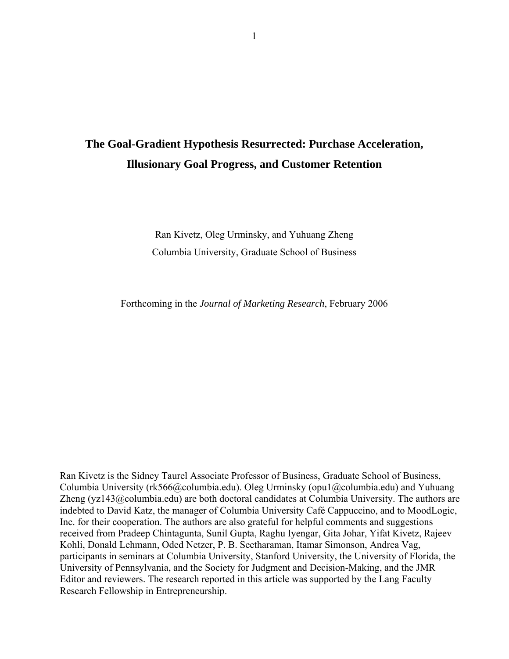# **The Goal-Gradient Hypothesis Resurrected: Purchase Acceleration, Illusionary Goal Progress, and Customer Retention**

Ran Kivetz, Oleg Urminsky, and Yuhuang Zheng Columbia University, Graduate School of Business

Forthcoming in the *Journal of Marketing Research*, February 2006

Ran Kivetz is the Sidney Taurel Associate Professor of Business, Graduate School of Business, Columbia University (rk566@columbia.edu). Oleg Urminsky (opu1@columbia.edu) and Yuhuang Zheng (yz143@columbia.edu) are both doctoral candidates at Columbia University. The authors are indebted to David Katz, the manager of Columbia University Café Cappuccino, and to MoodLogic, Inc. for their cooperation. The authors are also grateful for helpful comments and suggestions received from Pradeep Chintagunta, Sunil Gupta, Raghu Iyengar, Gita Johar, Yifat Kivetz, Rajeev Kohli, Donald Lehmann, Oded Netzer, P. B. Seetharaman, Itamar Simonson, Andrea Vag, participants in seminars at Columbia University, Stanford University, the University of Florida, the University of Pennsylvania, and the Society for Judgment and Decision-Making, and the JMR Editor and reviewers. The research reported in this article was supported by the Lang Faculty Research Fellowship in Entrepreneurship.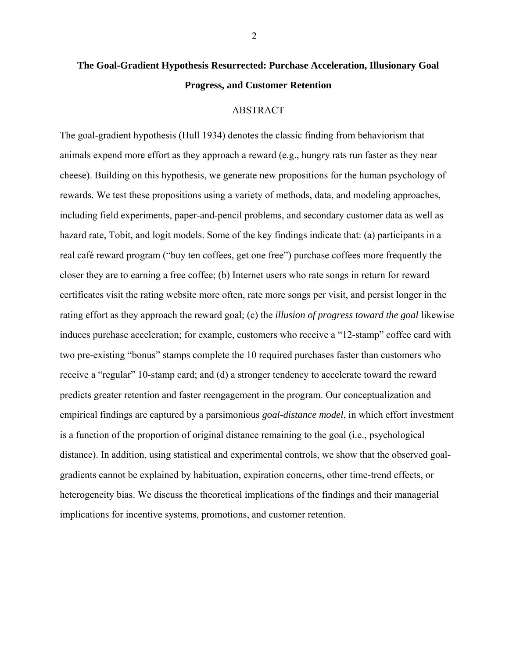# **The Goal-Gradient Hypothesis Resurrected: Purchase Acceleration, Illusionary Goal Progress, and Customer Retention**

#### ABSTRACT

The goal-gradient hypothesis (Hull 1934) denotes the classic finding from behaviorism that animals expend more effort as they approach a reward (e.g., hungry rats run faster as they near cheese). Building on this hypothesis, we generate new propositions for the human psychology of rewards. We test these propositions using a variety of methods, data, and modeling approaches, including field experiments, paper-and-pencil problems, and secondary customer data as well as hazard rate, Tobit, and logit models. Some of the key findings indicate that: (a) participants in a real café reward program ("buy ten coffees, get one free") purchase coffees more frequently the closer they are to earning a free coffee; (b) Internet users who rate songs in return for reward certificates visit the rating website more often, rate more songs per visit, and persist longer in the rating effort as they approach the reward goal; (c) the *illusion of progress toward the goal* likewise induces purchase acceleration; for example, customers who receive a "12-stamp" coffee card with two pre-existing "bonus" stamps complete the 10 required purchases faster than customers who receive a "regular" 10-stamp card; and (d) a stronger tendency to accelerate toward the reward predicts greater retention and faster reengagement in the program. Our conceptualization and empirical findings are captured by a parsimonious *goal-distance model*, in which effort investment is a function of the proportion of original distance remaining to the goal (i.e., psychological distance). In addition, using statistical and experimental controls, we show that the observed goalgradients cannot be explained by habituation, expiration concerns, other time-trend effects, or heterogeneity bias. We discuss the theoretical implications of the findings and their managerial implications for incentive systems, promotions, and customer retention.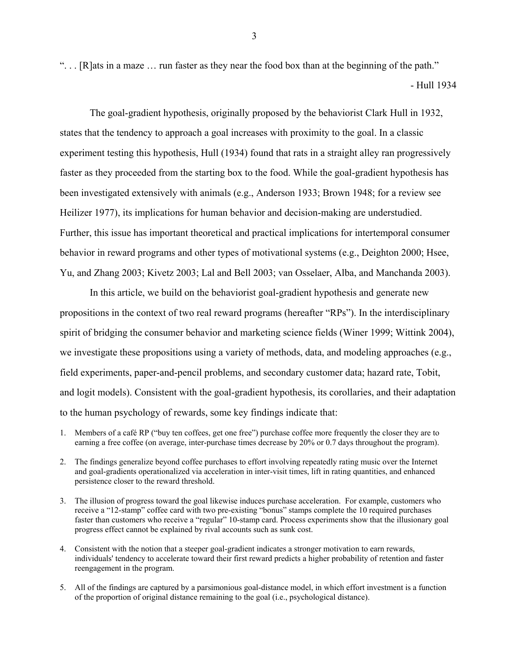". . . [R]ats in a maze … run faster as they near the food box than at the beginning of the path." - Hull 1934

 The goal-gradient hypothesis, originally proposed by the behaviorist Clark Hull in 1932, states that the tendency to approach a goal increases with proximity to the goal. In a classic experiment testing this hypothesis, Hull (1934) found that rats in a straight alley ran progressively faster as they proceeded from the starting box to the food. While the goal-gradient hypothesis has been investigated extensively with animals (e.g., Anderson 1933; Brown 1948; for a review see Heilizer 1977), its implications for human behavior and decision-making are understudied. Further, this issue has important theoretical and practical implications for intertemporal consumer behavior in reward programs and other types of motivational systems (e.g., Deighton 2000; Hsee, Yu, and Zhang 2003; Kivetz 2003; Lal and Bell 2003; van Osselaer, Alba, and Manchanda 2003).

 In this article, we build on the behaviorist goal-gradient hypothesis and generate new propositions in the context of two real reward programs (hereafter "RPs"). In the interdisciplinary spirit of bridging the consumer behavior and marketing science fields (Winer 1999; Wittink 2004), we investigate these propositions using a variety of methods, data, and modeling approaches (e.g., field experiments, paper-and-pencil problems, and secondary customer data; hazard rate, Tobit, and logit models). Consistent with the goal-gradient hypothesis, its corollaries, and their adaptation to the human psychology of rewards, some key findings indicate that:

- 1. Members of a café RP ("buy ten coffees, get one free") purchase coffee more frequently the closer they are to earning a free coffee (on average, inter-purchase times decrease by 20% or 0.7 days throughout the program).
- 2. The findings generalize beyond coffee purchases to effort involving repeatedly rating music over the Internet and goal-gradients operationalized via acceleration in inter-visit times, lift in rating quantities, and enhanced persistence closer to the reward threshold.
- 3. The illusion of progress toward the goal likewise induces purchase acceleration. For example, customers who receive a "12-stamp" coffee card with two pre-existing "bonus" stamps complete the 10 required purchases faster than customers who receive a "regular" 10-stamp card. Process experiments show that the illusionary goal progress effect cannot be explained by rival accounts such as sunk cost.
- 4. Consistent with the notion that a steeper goal-gradient indicates a stronger motivation to earn rewards, individuals' tendency to accelerate toward their first reward predicts a higher probability of retention and faster reengagement in the program.
- 5. All of the findings are captured by a parsimonious goal-distance model, in which effort investment is a function of the proportion of original distance remaining to the goal (i.e., psychological distance).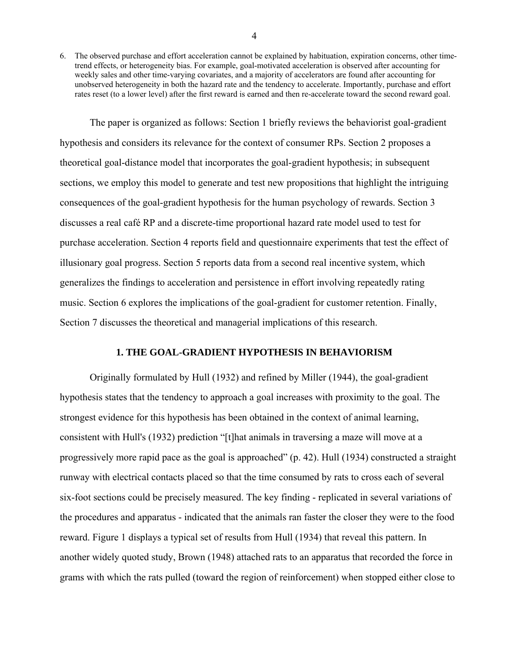6. The observed purchase and effort acceleration cannot be explained by habituation, expiration concerns, other timetrend effects, or heterogeneity bias. For example, goal-motivated acceleration is observed after accounting for weekly sales and other time-varying covariates, and a majority of accelerators are found after accounting for unobserved heterogeneity in both the hazard rate and the tendency to accelerate. Importantly, purchase and effort rates reset (to a lower level) after the first reward is earned and then re-accelerate toward the second reward goal.

The paper is organized as follows: Section 1 briefly reviews the behaviorist goal-gradient hypothesis and considers its relevance for the context of consumer RPs. Section 2 proposes a theoretical goal-distance model that incorporates the goal-gradient hypothesis; in subsequent sections, we employ this model to generate and test new propositions that highlight the intriguing consequences of the goal-gradient hypothesis for the human psychology of rewards. Section 3 discusses a real café RP and a discrete-time proportional hazard rate model used to test for purchase acceleration. Section 4 reports field and questionnaire experiments that test the effect of illusionary goal progress. Section 5 reports data from a second real incentive system, which generalizes the findings to acceleration and persistence in effort involving repeatedly rating music. Section 6 explores the implications of the goal-gradient for customer retention. Finally, Section 7 discusses the theoretical and managerial implications of this research.

## **1. THE GOAL-GRADIENT HYPOTHESIS IN BEHAVIORISM**

Originally formulated by Hull (1932) and refined by Miller (1944), the goal-gradient hypothesis states that the tendency to approach a goal increases with proximity to the goal. The strongest evidence for this hypothesis has been obtained in the context of animal learning, consistent with Hull's (1932) prediction "[t]hat animals in traversing a maze will move at a progressively more rapid pace as the goal is approached" (p. 42). Hull (1934) constructed a straight runway with electrical contacts placed so that the time consumed by rats to cross each of several six-foot sections could be precisely measured. The key finding - replicated in several variations of the procedures and apparatus - indicated that the animals ran faster the closer they were to the food reward. Figure 1 displays a typical set of results from Hull (1934) that reveal this pattern. In another widely quoted study, Brown (1948) attached rats to an apparatus that recorded the force in grams with which the rats pulled (toward the region of reinforcement) when stopped either close to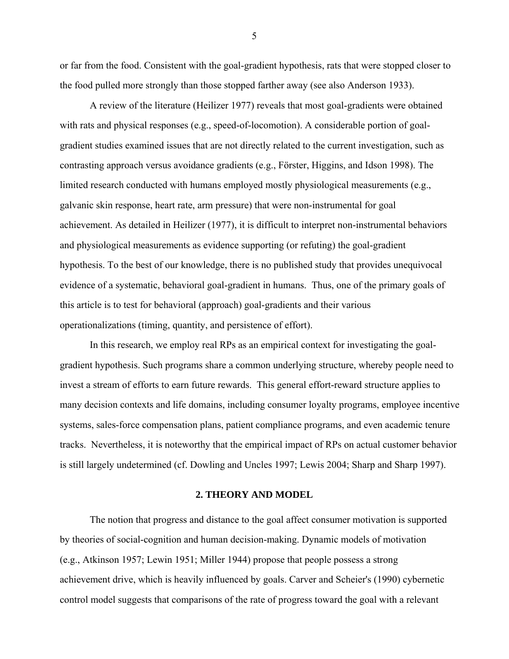or far from the food. Consistent with the goal-gradient hypothesis, rats that were stopped closer to the food pulled more strongly than those stopped farther away (see also Anderson 1933).

A review of the literature (Heilizer 1977) reveals that most goal-gradients were obtained with rats and physical responses (e.g., speed-of-locomotion). A considerable portion of goalgradient studies examined issues that are not directly related to the current investigation, such as contrasting approach versus avoidance gradients (e.g., Förster, Higgins, and Idson 1998). The limited research conducted with humans employed mostly physiological measurements (e.g., galvanic skin response, heart rate, arm pressure) that were non-instrumental for goal achievement. As detailed in Heilizer (1977), it is difficult to interpret non-instrumental behaviors and physiological measurements as evidence supporting (or refuting) the goal-gradient hypothesis. To the best of our knowledge, there is no published study that provides unequivocal evidence of a systematic, behavioral goal-gradient in humans. Thus, one of the primary goals of this article is to test for behavioral (approach) goal-gradients and their various operationalizations (timing, quantity, and persistence of effort).

In this research, we employ real RPs as an empirical context for investigating the goalgradient hypothesis. Such programs share a common underlying structure, whereby people need to invest a stream of efforts to earn future rewards. This general effort-reward structure applies to many decision contexts and life domains, including consumer loyalty programs, employee incentive systems, sales-force compensation plans, patient compliance programs, and even academic tenure tracks. Nevertheless, it is noteworthy that the empirical impact of RPs on actual customer behavior is still largely undetermined (cf. Dowling and Uncles 1997; Lewis 2004; Sharp and Sharp 1997).

#### **2. THEORY AND MODEL**

The notion that progress and distance to the goal affect consumer motivation is supported by theories of social-cognition and human decision-making. Dynamic models of motivation (e.g., Atkinson 1957; Lewin 1951; Miller 1944) propose that people possess a strong achievement drive, which is heavily influenced by goals. Carver and Scheier's (1990) cybernetic control model suggests that comparisons of the rate of progress toward the goal with a relevant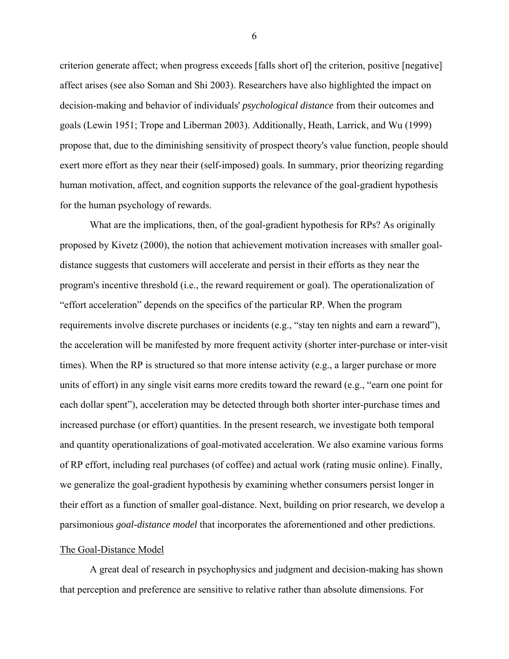criterion generate affect; when progress exceeds [falls short of] the criterion, positive [negative] affect arises (see also Soman and Shi 2003). Researchers have also highlighted the impact on decision-making and behavior of individuals' *psychological distance* from their outcomes and goals (Lewin 1951; Trope and Liberman 2003). Additionally, Heath, Larrick, and Wu (1999) propose that, due to the diminishing sensitivity of prospect theory's value function, people should exert more effort as they near their (self-imposed) goals. In summary, prior theorizing regarding human motivation, affect, and cognition supports the relevance of the goal-gradient hypothesis for the human psychology of rewards.

What are the implications, then, of the goal-gradient hypothesis for RPs? As originally proposed by Kivetz (2000), the notion that achievement motivation increases with smaller goaldistance suggests that customers will accelerate and persist in their efforts as they near the program's incentive threshold (i.e., the reward requirement or goal). The operationalization of "effort acceleration" depends on the specifics of the particular RP. When the program requirements involve discrete purchases or incidents (e.g., "stay ten nights and earn a reward"), the acceleration will be manifested by more frequent activity (shorter inter-purchase or inter-visit times). When the RP is structured so that more intense activity (e.g., a larger purchase or more units of effort) in any single visit earns more credits toward the reward (e.g., "earn one point for each dollar spent"), acceleration may be detected through both shorter inter-purchase times and increased purchase (or effort) quantities. In the present research, we investigate both temporal and quantity operationalizations of goal-motivated acceleration. We also examine various forms of RP effort, including real purchases (of coffee) and actual work (rating music online). Finally, we generalize the goal-gradient hypothesis by examining whether consumers persist longer in their effort as a function of smaller goal-distance. Next, building on prior research, we develop a parsimonious *goal-distance model* that incorporates the aforementioned and other predictions.

#### The Goal-Distance Model

A great deal of research in psychophysics and judgment and decision-making has shown that perception and preference are sensitive to relative rather than absolute dimensions. For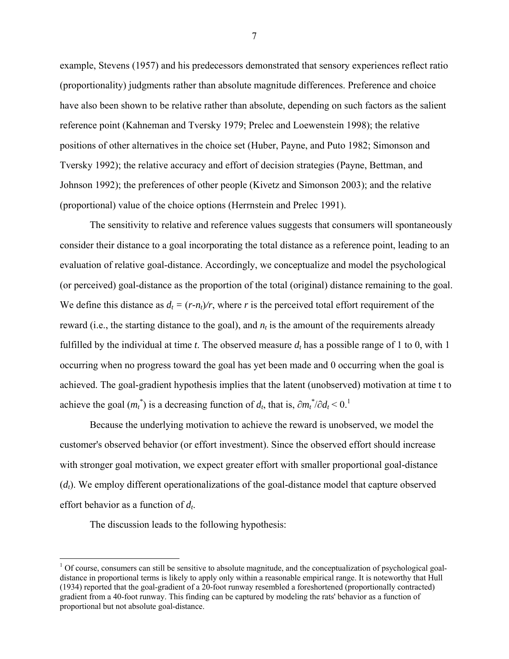example, Stevens (1957) and his predecessors demonstrated that sensory experiences reflect ratio (proportionality) judgments rather than absolute magnitude differences. Preference and choice have also been shown to be relative rather than absolute, depending on such factors as the salient reference point (Kahneman and Tversky 1979; Prelec and Loewenstein 1998); the relative positions of other alternatives in the choice set (Huber, Payne, and Puto 1982; Simonson and Tversky 1992); the relative accuracy and effort of decision strategies (Payne, Bettman, and Johnson 1992); the preferences of other people (Kivetz and Simonson 2003); and the relative (proportional) value of the choice options (Herrnstein and Prelec 1991).

The sensitivity to relative and reference values suggests that consumers will spontaneously consider their distance to a goal incorporating the total distance as a reference point, leading to an evaluation of relative goal-distance. Accordingly, we conceptualize and model the psychological (or perceived) goal-distance as the proportion of the total (original) distance remaining to the goal. We define this distance as  $d_t = (r-n_t)/r$ , where *r* is the perceived total effort requirement of the reward (i.e., the starting distance to the goal), and  $n_t$  is the amount of the requirements already fulfilled by the individual at time *t*. The observed measure  $d_t$  has a possible range of 1 to 0, with 1 occurring when no progress toward the goal has yet been made and 0 occurring when the goal is achieved. The goal-gradient hypothesis implies that the latent (unobserved) motivation at time t to achieve the goal  $(m_t^*)$  is a decreasing function of  $d_t$ , that is,  $\partial m_t^* / \partial d_t < 0$ .<sup>1</sup>

Because the underlying motivation to achieve the reward is unobserved, we model the customer's observed behavior (or effort investment). Since the observed effort should increase with stronger goal motivation, we expect greater effort with smaller proportional goal-distance (*dt*). We employ different operationalizations of the goal-distance model that capture observed effort behavior as a function of *dt*.

The discussion leads to the following hypothesis:

<u>.</u>

 $1$  Of course, consumers can still be sensitive to absolute magnitude, and the conceptualization of psychological goaldistance in proportional terms is likely to apply only within a reasonable empirical range. It is noteworthy that Hull (1934) reported that the goal-gradient of a 20-foot runway resembled a foreshortened (proportionally contracted) gradient from a 40-foot runway. This finding can be captured by modeling the rats' behavior as a function of proportional but not absolute goal-distance.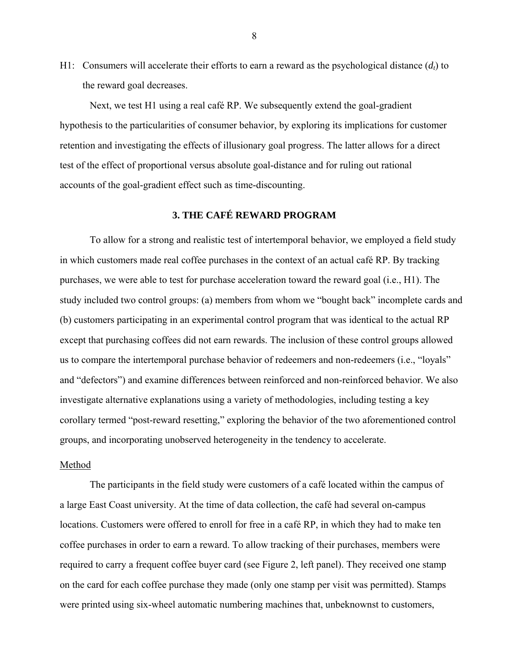H1: Consumers will accelerate their efforts to earn a reward as the psychological distance  $(d<sub>t</sub>)$  to the reward goal decreases.

Next, we test H1 using a real café RP. We subsequently extend the goal-gradient hypothesis to the particularities of consumer behavior, by exploring its implications for customer retention and investigating the effects of illusionary goal progress. The latter allows for a direct test of the effect of proportional versus absolute goal-distance and for ruling out rational accounts of the goal-gradient effect such as time-discounting.

# **3. THE CAFÉ REWARD PROGRAM**

To allow for a strong and realistic test of intertemporal behavior, we employed a field study in which customers made real coffee purchases in the context of an actual café RP. By tracking purchases, we were able to test for purchase acceleration toward the reward goal (i.e., H1). The study included two control groups: (a) members from whom we "bought back" incomplete cards and (b) customers participating in an experimental control program that was identical to the actual RP except that purchasing coffees did not earn rewards. The inclusion of these control groups allowed us to compare the intertemporal purchase behavior of redeemers and non-redeemers (i.e., "loyals" and "defectors") and examine differences between reinforced and non-reinforced behavior. We also investigate alternative explanations using a variety of methodologies, including testing a key corollary termed "post-reward resetting," exploring the behavior of the two aforementioned control groups, and incorporating unobserved heterogeneity in the tendency to accelerate.

## Method

The participants in the field study were customers of a café located within the campus of a large East Coast university. At the time of data collection, the café had several on-campus locations. Customers were offered to enroll for free in a café RP, in which they had to make ten coffee purchases in order to earn a reward. To allow tracking of their purchases, members were required to carry a frequent coffee buyer card (see Figure 2, left panel). They received one stamp on the card for each coffee purchase they made (only one stamp per visit was permitted). Stamps were printed using six-wheel automatic numbering machines that, unbeknownst to customers,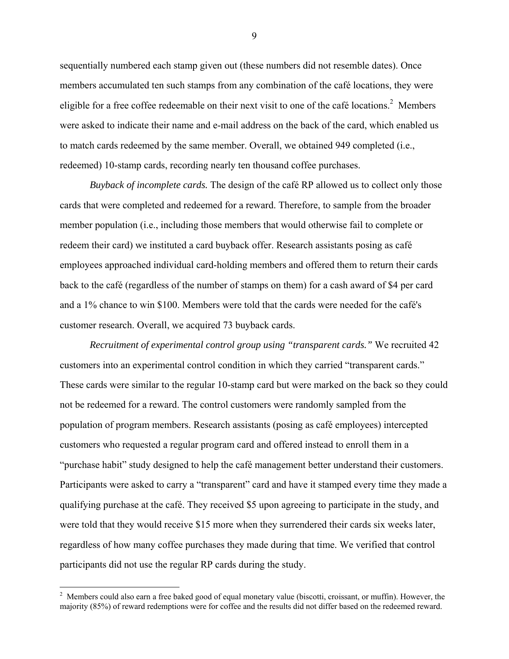sequentially numbered each stamp given out (these numbers did not resemble dates). Once members accumulated ten such stamps from any combination of the café locations, they were eligible for a free coffee redeemable on their next visit to one of the café locations.<sup>2</sup> Members were asked to indicate their name and e-mail address on the back of the card, which enabled us to match cards redeemed by the same member. Overall, we obtained 949 completed (i.e., redeemed) 10-stamp cards, recording nearly ten thousand coffee purchases.

*Buyback of incomplete cards.* The design of the café RP allowed us to collect only those cards that were completed and redeemed for a reward. Therefore, to sample from the broader member population (i.e., including those members that would otherwise fail to complete or redeem their card) we instituted a card buyback offer. Research assistants posing as café employees approached individual card-holding members and offered them to return their cards back to the café (regardless of the number of stamps on them) for a cash award of \$4 per card and a 1% chance to win \$100. Members were told that the cards were needed for the café's customer research. Overall, we acquired 73 buyback cards.

*Recruitment of experimental control group using "transparent cards."* We recruited 42 customers into an experimental control condition in which they carried "transparent cards." These cards were similar to the regular 10-stamp card but were marked on the back so they could not be redeemed for a reward. The control customers were randomly sampled from the population of program members. Research assistants (posing as café employees) intercepted customers who requested a regular program card and offered instead to enroll them in a "purchase habit" study designed to help the café management better understand their customers. Participants were asked to carry a "transparent" card and have it stamped every time they made a qualifying purchase at the café. They received \$5 upon agreeing to participate in the study, and were told that they would receive \$15 more when they surrendered their cards six weeks later, regardless of how many coffee purchases they made during that time. We verified that control participants did not use the regular RP cards during the study.

 $\overline{a}$ 

 $2$  Members could also earn a free baked good of equal monetary value (biscotti, croissant, or muffin). However, the majority (85%) of reward redemptions were for coffee and the results did not differ based on the redeemed reward.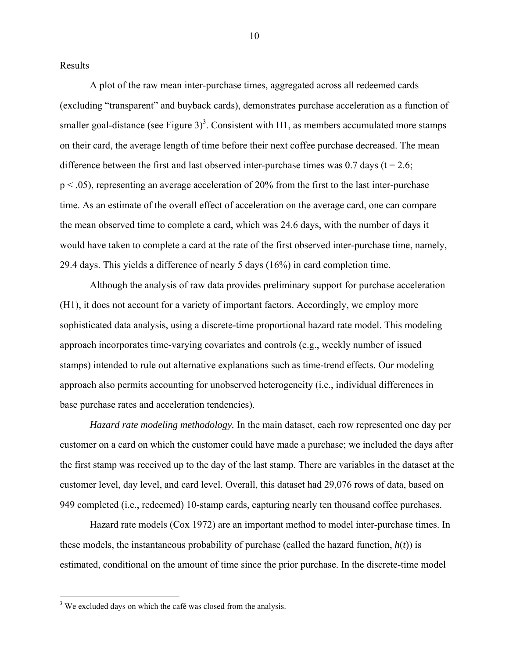Results

A plot of the raw mean inter-purchase times, aggregated across all redeemed cards (excluding "transparent" and buyback cards), demonstrates purchase acceleration as a function of smaller goal-distance (see Figure 3)<sup>3</sup>. Consistent with H1, as members accumulated more stamps on their card, the average length of time before their next coffee purchase decreased. The mean difference between the first and last observed inter-purchase times was  $0.7$  days (t = 2.6; p < .05), representing an average acceleration of 20% from the first to the last inter-purchase time. As an estimate of the overall effect of acceleration on the average card, one can compare the mean observed time to complete a card, which was 24.6 days, with the number of days it would have taken to complete a card at the rate of the first observed inter-purchase time, namely, 29.4 days. This yields a difference of nearly 5 days (16%) in card completion time.

Although the analysis of raw data provides preliminary support for purchase acceleration (H1), it does not account for a variety of important factors. Accordingly, we employ more sophisticated data analysis, using a discrete-time proportional hazard rate model. This modeling approach incorporates time-varying covariates and controls (e.g., weekly number of issued stamps) intended to rule out alternative explanations such as time-trend effects. Our modeling approach also permits accounting for unobserved heterogeneity (i.e., individual differences in base purchase rates and acceleration tendencies).

*Hazard rate modeling methodology.* In the main dataset, each row represented one day per customer on a card on which the customer could have made a purchase; we included the days after the first stamp was received up to the day of the last stamp. There are variables in the dataset at the customer level, day level, and card level. Overall, this dataset had 29,076 rows of data, based on 949 completed (i.e., redeemed) 10-stamp cards, capturing nearly ten thousand coffee purchases.

Hazard rate models (Cox 1972) are an important method to model inter-purchase times. In these models, the instantaneous probability of purchase (called the hazard function,  $h(t)$ ) is estimated, conditional on the amount of time since the prior purchase. In the discrete-time model

 $\overline{a}$ 

 $3$  We excluded days on which the café was closed from the analysis.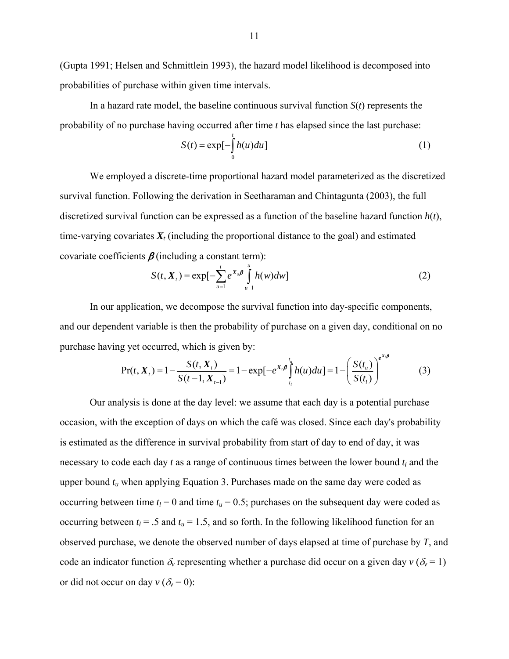(Gupta 1991; Helsen and Schmittlein 1993), the hazard model likelihood is decomposed into probabilities of purchase within given time intervals.

In a hazard rate model, the baseline continuous survival function *S*(*t*) represents the probability of no purchase having occurred after time *t* has elapsed since the last purchase:

$$
S(t) = \exp[-\int_{0}^{t} h(u)du]
$$
 (1)

We employed a discrete-time proportional hazard model parameterized as the discretized survival function. Following the derivation in Seetharaman and Chintagunta (2003), the full discretized survival function can be expressed as a function of the baseline hazard function  $h(t)$ , time-varying covariates *Xt* (including the proportional distance to the goal) and estimated covariate coefficients  $\beta$  (including a constant term):

$$
S(t, X_t) = \exp[-\sum_{u=1}^t e^{X_u} \int_{u=1}^u h(w) dw]
$$
 (2)

In our application, we decompose the survival function into day-specific components, and our dependent variable is then the probability of purchase on a given day, conditional on no purchase having yet occurred, which is given by:

$$
Pr(t, X_{t}) = 1 - \frac{S(t, X_{t})}{S(t - 1, X_{t-1})} = 1 - exp[-e^{X_{t}} \int_{t_{t}}^{t_{u}} h(u) du] = 1 - \left(\frac{S(t_{u})}{S(t_{t})}\right)^{e^{X_{t}}}
$$
(3)

Our analysis is done at the day level: we assume that each day is a potential purchase occasion, with the exception of days on which the café was closed. Since each day's probability is estimated as the difference in survival probability from start of day to end of day, it was necessary to code each day  $t$  as a range of continuous times between the lower bound  $t_l$  and the upper bound  $t<sub>u</sub>$  when applying Equation 3. Purchases made on the same day were coded as occurring between time  $t_l$  = 0 and time  $t_u$  = 0.5; purchases on the subsequent day were coded as occurring between  $t_l$  = .5 and  $t_u$  = 1.5, and so forth. In the following likelihood function for an observed purchase, we denote the observed number of days elapsed at time of purchase by *T*, and code an indicator function  $\delta_v$  representing whether a purchase did occur on a given day  $v (\delta_v = 1)$ or did not occur on day  $v (\delta_v = 0)$ :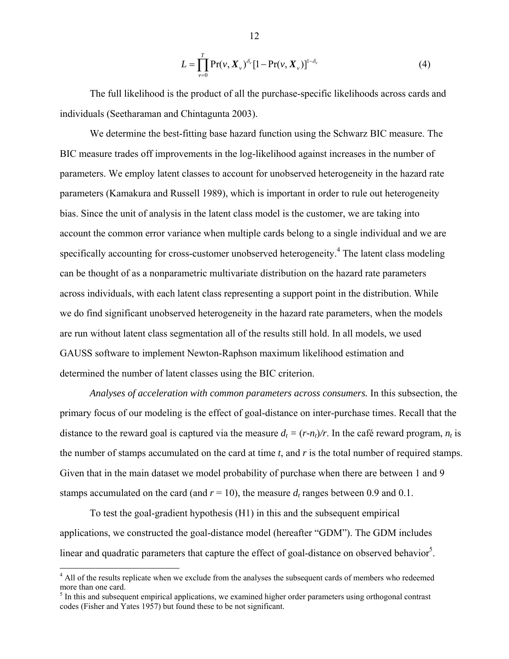$$
L = \prod_{\nu=0}^{T} \Pr(\nu, \bm{X}_{\nu})^{\delta_{\nu}} [1 - \Pr(\nu, \bm{X}_{\nu})]^{1 - \delta_{\nu}}
$$
(4)

The full likelihood is the product of all the purchase-specific likelihoods across cards and individuals (Seetharaman and Chintagunta 2003).

We determine the best-fitting base hazard function using the Schwarz BIC measure. The BIC measure trades off improvements in the log-likelihood against increases in the number of parameters. We employ latent classes to account for unobserved heterogeneity in the hazard rate parameters (Kamakura and Russell 1989), which is important in order to rule out heterogeneity bias. Since the unit of analysis in the latent class model is the customer, we are taking into account the common error variance when multiple cards belong to a single individual and we are specifically accounting for cross-customer unobserved heterogeneity.<sup>4</sup> The latent class modeling can be thought of as a nonparametric multivariate distribution on the hazard rate parameters across individuals, with each latent class representing a support point in the distribution. While we do find significant unobserved heterogeneity in the hazard rate parameters, when the models are run without latent class segmentation all of the results still hold. In all models, we used GAUSS software to implement Newton-Raphson maximum likelihood estimation and determined the number of latent classes using the BIC criterion.

*Analyses of acceleration with common parameters across consumers.* In this subsection, the primary focus of our modeling is the effect of goal-distance on inter-purchase times. Recall that the distance to the reward goal is captured via the measure  $d_t = (r-n_t)/r$ . In the café reward program,  $n_t$  is the number of stamps accumulated on the card at time *t*, and *r* is the total number of required stamps. Given that in the main dataset we model probability of purchase when there are between 1 and 9 stamps accumulated on the card (and  $r = 10$ ), the measure  $d_t$  ranges between 0.9 and 0.1.

To test the goal-gradient hypothesis (H1) in this and the subsequent empirical applications, we constructed the goal-distance model (hereafter "GDM"). The GDM includes linear and quadratic parameters that capture the effect of goal-distance on observed behavior<sup>5</sup>.

 $\overline{a}$ 

<sup>&</sup>lt;sup>4</sup> All of the results replicate when we exclude from the analyses the subsequent cards of members who redeemed more than one card.

 $<sup>5</sup>$  In this and subsequent empirical applications, we examined higher order parameters using orthogonal contrast</sup> codes (Fisher and Yates 1957) but found these to be not significant.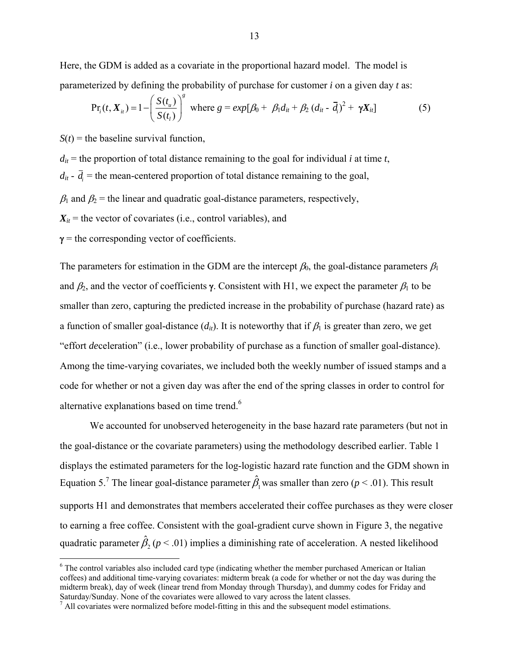Here, the GDM is added as a covariate in the proportional hazard model. The model is parameterized by defining the probability of purchase for customer *i* on a given day *t* as:

$$
Pr_i(t, X_{it}) = 1 - \left(\frac{S(t_{it})}{S(t_i)}\right)^s \text{ where } g = exp[\beta_0 + \beta_1 d_{it} + \beta_2 (d_{it} - \bar{d}_i)^2 + \gamma X_{it}] \tag{5}
$$

 $S(t)$  = the baseline survival function.

 $d_{it}$  = the proportion of total distance remaining to the goal for individual *i* at time *t*,  $d_{it}$  -  $\overline{d}_i$  = the mean-centered proportion of total distance remaining to the goal,  $\beta_1$  and  $\beta_2$  = the linear and quadratic goal-distance parameters, respectively,  $X_{it}$  = the vector of covariates (i.e., control variables), and

 $\gamma$  = the corresponding vector of coefficients.

The parameters for estimation in the GDM are the intercept  $\beta_0$ , the goal-distance parameters  $\beta_1$ and  $\beta_2$ , and the vector of coefficients γ. Consistent with H1, we expect the parameter  $\beta_1$  to be smaller than zero, capturing the predicted increase in the probability of purchase (hazard rate) as a function of smaller goal-distance  $(d_{ii})$ . It is noteworthy that if  $\beta_1$  is greater than zero, we get "effort *de*celeration" (i.e., lower probability of purchase as a function of smaller goal-distance). Among the time-varying covariates, we included both the weekly number of issued stamps and a code for whether or not a given day was after the end of the spring classes in order to control for alternative explanations based on time trend.<sup>6</sup>

We accounted for unobserved heterogeneity in the base hazard rate parameters (but not in the goal-distance or the covariate parameters) using the methodology described earlier. Table 1 displays the estimated parameters for the log-logistic hazard rate function and the GDM shown in Equation 5.<sup>7</sup> The linear goal-distance parameter  $\hat{\beta}_1$  was smaller than zero (*p* < .01). This result supports H1 and demonstrates that members accelerated their coffee purchases as they were closer to earning a free coffee. Consistent with the goal-gradient curve shown in Figure 3, the negative quadratic parameter  $\hat{\beta}_2$  ( $p < .01$ ) implies a diminishing rate of acceleration. A nested likelihood

<sup>&</sup>lt;sup>6</sup> The control variables also included card type (indicating whether the member purchased American or Italian coffees) and additional time-varying covariates: midterm break (a code for whether or not the day was during the midterm break), day of week (linear trend from Monday through Thursday), and dummy codes for Friday and Saturday/Sunday. None of the covariates were allowed to vary across the latent classes.

 $<sup>7</sup>$  All covariates were normalized before model-fitting in this and the subsequent model estimations.</sup>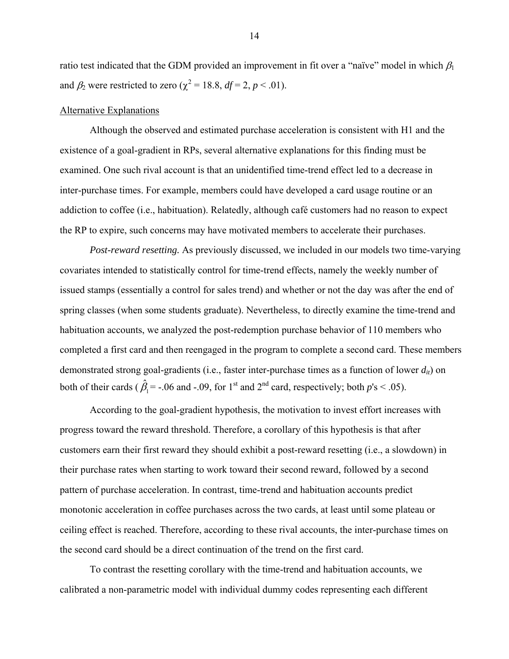ratio test indicated that the GDM provided an improvement in fit over a "naïve" model in which  $\beta_1$ and  $\beta_2$  were restricted to zero ( $\chi^2 = 18.8$ ,  $df = 2$ ,  $p < .01$ ).

# Alternative Explanations

Although the observed and estimated purchase acceleration is consistent with H1 and the existence of a goal-gradient in RPs, several alternative explanations for this finding must be examined. One such rival account is that an unidentified time-trend effect led to a decrease in inter-purchase times. For example, members could have developed a card usage routine or an addiction to coffee (i.e., habituation). Relatedly, although café customers had no reason to expect the RP to expire, such concerns may have motivated members to accelerate their purchases.

*Post-reward resetting.* As previously discussed, we included in our models two time-varying covariates intended to statistically control for time-trend effects, namely the weekly number of issued stamps (essentially a control for sales trend) and whether or not the day was after the end of spring classes (when some students graduate). Nevertheless, to directly examine the time-trend and habituation accounts, we analyzed the post-redemption purchase behavior of 110 members who completed a first card and then reengaged in the program to complete a second card. These members demonstrated strong goal-gradients (i.e., faster inter-purchase times as a function of lower *dit*) on both of their cards ( $\hat{\beta}_1$  = -.06 and -.09, for 1<sup>st</sup> and 2<sup>nd</sup> card, respectively; both *p*'s < .05).

According to the goal-gradient hypothesis, the motivation to invest effort increases with progress toward the reward threshold. Therefore, a corollary of this hypothesis is that after customers earn their first reward they should exhibit a post-reward resetting (i.e., a slowdown) in their purchase rates when starting to work toward their second reward, followed by a second pattern of purchase acceleration. In contrast, time-trend and habituation accounts predict monotonic acceleration in coffee purchases across the two cards, at least until some plateau or ceiling effect is reached. Therefore, according to these rival accounts, the inter-purchase times on the second card should be a direct continuation of the trend on the first card.

To contrast the resetting corollary with the time-trend and habituation accounts, we calibrated a non-parametric model with individual dummy codes representing each different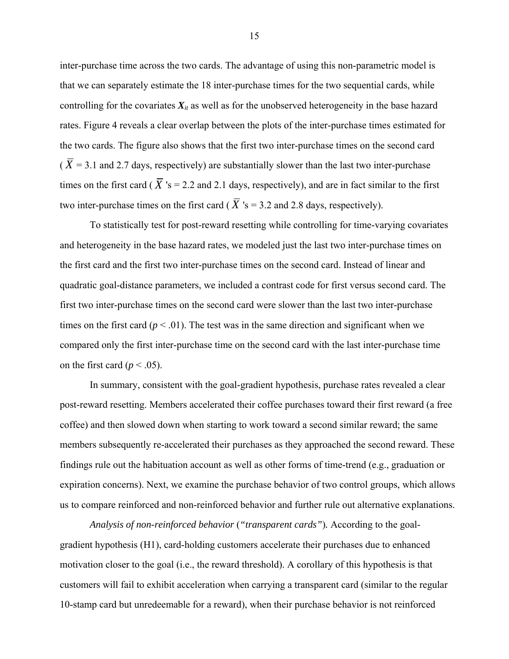inter-purchase time across the two cards. The advantage of using this non-parametric model is that we can separately estimate the 18 inter-purchase times for the two sequential cards, while controlling for the covariates  $X_i$  as well as for the unobserved heterogeneity in the base hazard rates. Figure 4 reveals a clear overlap between the plots of the inter-purchase times estimated for the two cards. The figure also shows that the first two inter-purchase times on the second card  $(\overline{X} = 3.1$  and 2.7 days, respectively) are substantially slower than the last two inter-purchase times on the first card ( $\overline{X}$  's = 2.2 and 2.1 days, respectively), and are in fact similar to the first two inter-purchase times on the first card ( $\overline{X}$  's = 3.2 and 2.8 days, respectively).

To statistically test for post-reward resetting while controlling for time-varying covariates and heterogeneity in the base hazard rates, we modeled just the last two inter-purchase times on the first card and the first two inter-purchase times on the second card. Instead of linear and quadratic goal-distance parameters, we included a contrast code for first versus second card. The first two inter-purchase times on the second card were slower than the last two inter-purchase times on the first card  $(p < .01)$ . The test was in the same direction and significant when we compared only the first inter-purchase time on the second card with the last inter-purchase time on the first card ( $p < .05$ ).

In summary, consistent with the goal-gradient hypothesis, purchase rates revealed a clear post-reward resetting. Members accelerated their coffee purchases toward their first reward (a free coffee) and then slowed down when starting to work toward a second similar reward; the same members subsequently re-accelerated their purchases as they approached the second reward. These findings rule out the habituation account as well as other forms of time-trend (e.g., graduation or expiration concerns). Next, we examine the purchase behavior of two control groups, which allows us to compare reinforced and non-reinforced behavior and further rule out alternative explanations.

*Analysis of non-reinforced behavior* (*"transparent cards"*)*.* According to the goalgradient hypothesis (H1), card-holding customers accelerate their purchases due to enhanced motivation closer to the goal (i.e., the reward threshold). A corollary of this hypothesis is that customers will fail to exhibit acceleration when carrying a transparent card (similar to the regular 10-stamp card but unredeemable for a reward), when their purchase behavior is not reinforced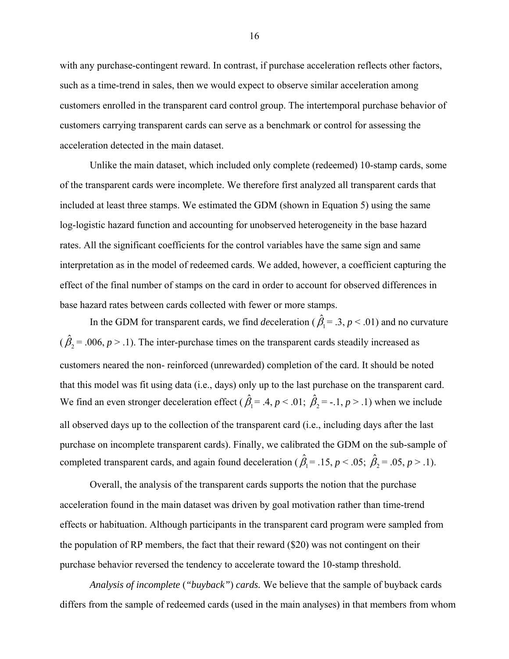with any purchase-contingent reward. In contrast, if purchase acceleration reflects other factors, such as a time-trend in sales, then we would expect to observe similar acceleration among customers enrolled in the transparent card control group. The intertemporal purchase behavior of customers carrying transparent cards can serve as a benchmark or control for assessing the acceleration detected in the main dataset.

Unlike the main dataset, which included only complete (redeemed) 10-stamp cards, some of the transparent cards were incomplete. We therefore first analyzed all transparent cards that included at least three stamps. We estimated the GDM (shown in Equation 5) using the same log-logistic hazard function and accounting for unobserved heterogeneity in the base hazard rates. All the significant coefficients for the control variables have the same sign and same interpretation as in the model of redeemed cards. We added, however, a coefficient capturing the effect of the final number of stamps on the card in order to account for observed differences in base hazard rates between cards collected with fewer or more stamps.

In the GDM for transparent cards, we find *deceleration* ( $\hat{\beta}_1 = .3, p < .01$ ) and no curvature  $(\hat{\beta}_2 = .006, p > .1)$ . The inter-purchase times on the transparent cards steadily increased as customers neared the non- reinforced (unrewarded) completion of the card. It should be noted that this model was fit using data (i.e., days) only up to the last purchase on the transparent card. We find an even stronger deceleration effect ( $\hat{\beta}_1 = .4, p < .01$ ;  $\hat{\beta}_2 = -.1, p > .1$ ) when we include all observed days up to the collection of the transparent card (i.e., including days after the last purchase on incomplete transparent cards). Finally, we calibrated the GDM on the sub-sample of completed transparent cards, and again found deceleration ( $\hat{\beta}_1 = .15$ ,  $p < .05$ ;  $\hat{\beta}_2 = .05$ ,  $p > .1$ ).

Overall, the analysis of the transparent cards supports the notion that the purchase acceleration found in the main dataset was driven by goal motivation rather than time-trend effects or habituation. Although participants in the transparent card program were sampled from the population of RP members, the fact that their reward (\$20) was not contingent on their purchase behavior reversed the tendency to accelerate toward the 10-stamp threshold.

*Analysis of incomplete* (*"buyback"*) *cards.* We believe that the sample of buyback cards differs from the sample of redeemed cards (used in the main analyses) in that members from whom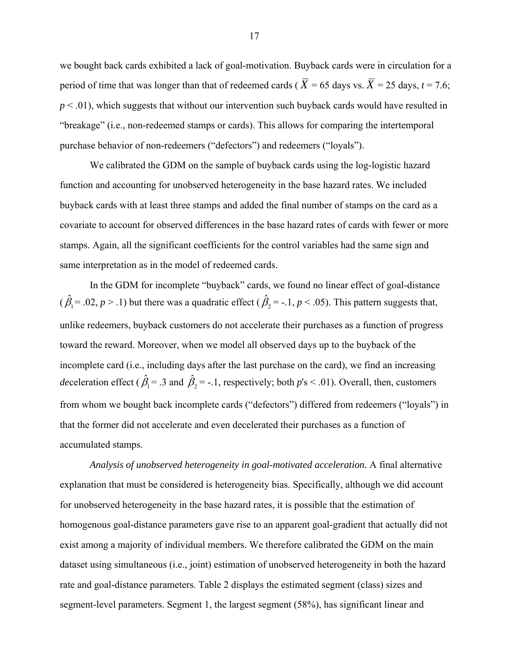we bought back cards exhibited a lack of goal-motivation. Buyback cards were in circulation for a period of time that was longer than that of redeemed cards ( $\overline{X}$  = 65 days vs.  $\overline{X}$  = 25 days, *t* = 7.6;  $p < .01$ ), which suggests that without our intervention such buyback cards would have resulted in "breakage" (i.e., non-redeemed stamps or cards). This allows for comparing the intertemporal purchase behavior of non-redeemers ("defectors") and redeemers ("loyals").

We calibrated the GDM on the sample of buyback cards using the log-logistic hazard function and accounting for unobserved heterogeneity in the base hazard rates. We included buyback cards with at least three stamps and added the final number of stamps on the card as a covariate to account for observed differences in the base hazard rates of cards with fewer or more stamps. Again, all the significant coefficients for the control variables had the same sign and same interpretation as in the model of redeemed cards.

In the GDM for incomplete "buyback" cards, we found no linear effect of goal-distance  $(\hat{\beta}_1 = .02, p > .1)$  but there was a quadratic effect  $(\hat{\beta}_2 = -.1, p < .05)$ . This pattern suggests that, unlike redeemers, buyback customers do not accelerate their purchases as a function of progress toward the reward. Moreover, when we model all observed days up to the buyback of the incomplete card (i.e., including days after the last purchase on the card), we find an increasing *de*celeration effect ( $\hat{\beta}_1$  = .3 and  $\hat{\beta}_2$  = -.1, respectively; both  $p$ 's < .01). Overall, then, customers from whom we bought back incomplete cards ("defectors") differed from redeemers ("loyals") in that the former did not accelerate and even decelerated their purchases as a function of accumulated stamps.

*Analysis of unobserved heterogeneity in goal-motivated acceleration.* A final alternative explanation that must be considered is heterogeneity bias. Specifically, although we did account for unobserved heterogeneity in the base hazard rates, it is possible that the estimation of homogenous goal-distance parameters gave rise to an apparent goal-gradient that actually did not exist among a majority of individual members. We therefore calibrated the GDM on the main dataset using simultaneous (i.e., joint) estimation of unobserved heterogeneity in both the hazard rate and goal-distance parameters. Table 2 displays the estimated segment (class) sizes and segment-level parameters. Segment 1, the largest segment (58%), has significant linear and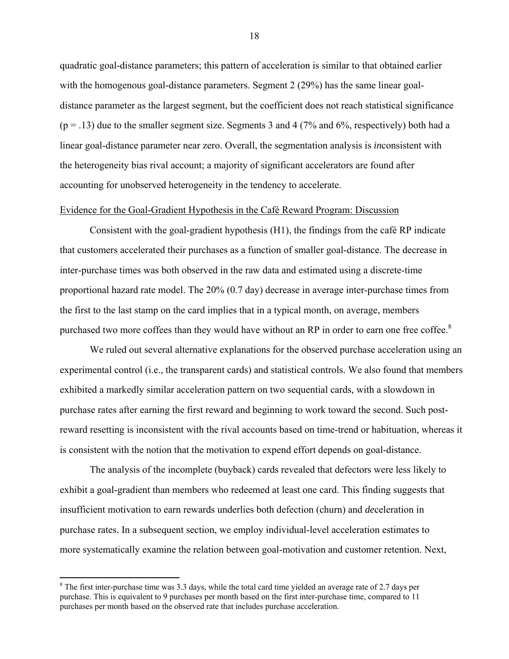quadratic goal-distance parameters; this pattern of acceleration is similar to that obtained earlier with the homogenous goal-distance parameters. Segment 2 (29%) has the same linear goaldistance parameter as the largest segment, but the coefficient does not reach statistical significance  $(p = .13)$  due to the smaller segment size. Segments 3 and 4 (7% and 6%, respectively) both had a linear goal-distance parameter near zero. Overall, the segmentation analysis is *in*consistent with the heterogeneity bias rival account; a majority of significant accelerators are found after accounting for unobserved heterogeneity in the tendency to accelerate.

#### Evidence for the Goal-Gradient Hypothesis in the Café Reward Program: Discussion

Consistent with the goal-gradient hypothesis (H1), the findings from the café RP indicate that customers accelerated their purchases as a function of smaller goal-distance. The decrease in inter-purchase times was both observed in the raw data and estimated using a discrete-time proportional hazard rate model. The 20% (0.7 day) decrease in average inter-purchase times from the first to the last stamp on the card implies that in a typical month, on average, members purchased two more coffees than they would have without an RP in order to earn one free coffee. $8$ 

We ruled out several alternative explanations for the observed purchase acceleration using an experimental control (i.e., the transparent cards) and statistical controls. We also found that members exhibited a markedly similar acceleration pattern on two sequential cards, with a slowdown in purchase rates after earning the first reward and beginning to work toward the second. Such postreward resetting is inconsistent with the rival accounts based on time-trend or habituation, whereas it is consistent with the notion that the motivation to expend effort depends on goal-distance.

The analysis of the incomplete (buyback) cards revealed that defectors were less likely to exhibit a goal-gradient than members who redeemed at least one card. This finding suggests that insufficient motivation to earn rewards underlies both defection (churn) and *de*celeration in purchase rates. In a subsequent section, we employ individual-level acceleration estimates to more systematically examine the relation between goal-motivation and customer retention. Next,

1

 $8$  The first inter-purchase time was 3.3 days, while the total card time yielded an average rate of 2.7 days per purchase. This is equivalent to 9 purchases per month based on the first inter-purchase time, compared to 11 purchases per month based on the observed rate that includes purchase acceleration.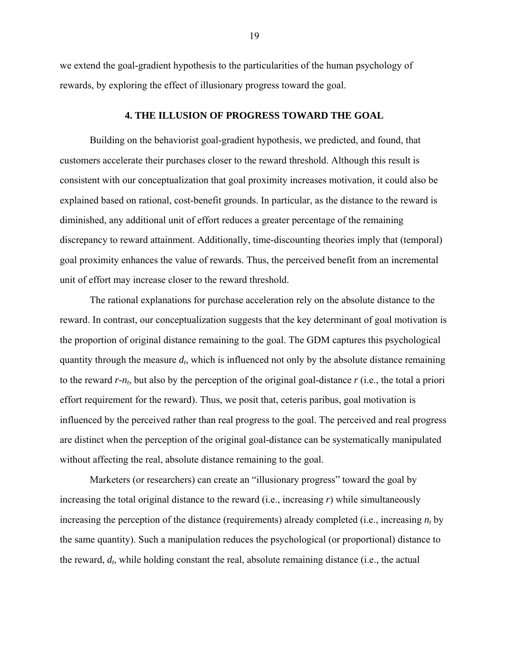we extend the goal-gradient hypothesis to the particularities of the human psychology of rewards, by exploring the effect of illusionary progress toward the goal.

## **4. THE ILLUSION OF PROGRESS TOWARD THE GOAL**

Building on the behaviorist goal-gradient hypothesis, we predicted, and found, that customers accelerate their purchases closer to the reward threshold. Although this result is consistent with our conceptualization that goal proximity increases motivation, it could also be explained based on rational, cost-benefit grounds. In particular, as the distance to the reward is diminished, any additional unit of effort reduces a greater percentage of the remaining discrepancy to reward attainment. Additionally, time-discounting theories imply that (temporal) goal proximity enhances the value of rewards. Thus, the perceived benefit from an incremental unit of effort may increase closer to the reward threshold.

The rational explanations for purchase acceleration rely on the absolute distance to the reward. In contrast, our conceptualization suggests that the key determinant of goal motivation is the proportion of original distance remaining to the goal. The GDM captures this psychological quantity through the measure  $d_t$ , which is influenced not only by the absolute distance remaining to the reward *r-nt*, but also by the perception of the original goal-distance *r* (i.e., the total a priori effort requirement for the reward). Thus, we posit that, ceteris paribus, goal motivation is influenced by the perceived rather than real progress to the goal. The perceived and real progress are distinct when the perception of the original goal-distance can be systematically manipulated without affecting the real, absolute distance remaining to the goal.

Marketers (or researchers) can create an "illusionary progress" toward the goal by increasing the total original distance to the reward (i.e., increasing *r*) while simultaneously increasing the perception of the distance (requirements) already completed (i.e., increasing *nt* by the same quantity). Such a manipulation reduces the psychological (or proportional) distance to the reward, *dt*, while holding constant the real, absolute remaining distance (i.e., the actual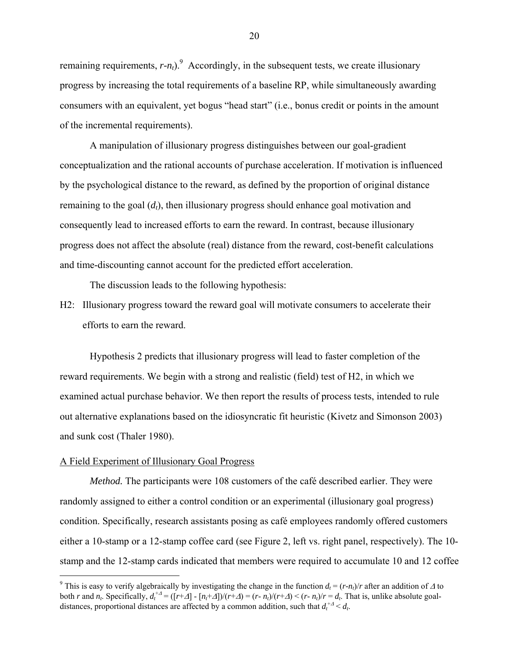remaining requirements,  $r - n_t$ ).<sup>9</sup> Accordingly, in the subsequent tests, we create illusionary progress by increasing the total requirements of a baseline RP, while simultaneously awarding consumers with an equivalent, yet bogus "head start" (i.e., bonus credit or points in the amount of the incremental requirements).

A manipulation of illusionary progress distinguishes between our goal-gradient conceptualization and the rational accounts of purchase acceleration. If motivation is influenced by the psychological distance to the reward, as defined by the proportion of original distance remaining to the goal (d<sub>t</sub>), then illusionary progress should enhance goal motivation and consequently lead to increased efforts to earn the reward. In contrast, because illusionary progress does not affect the absolute (real) distance from the reward, cost-benefit calculations and time-discounting cannot account for the predicted effort acceleration.

The discussion leads to the following hypothesis:

H2: Illusionary progress toward the reward goal will motivate consumers to accelerate their efforts to earn the reward.

Hypothesis 2 predicts that illusionary progress will lead to faster completion of the reward requirements. We begin with a strong and realistic (field) test of H2, in which we examined actual purchase behavior. We then report the results of process tests, intended to rule out alternative explanations based on the idiosyncratic fit heuristic (Kivetz and Simonson 2003) and sunk cost (Thaler 1980).

# A Field Experiment of Illusionary Goal Progress

<u>.</u>

*Method.* The participants were 108 customers of the café described earlier. They were randomly assigned to either a control condition or an experimental (illusionary goal progress) condition. Specifically, research assistants posing as café employees randomly offered customers either a 10-stamp or a 12-stamp coffee card (see Figure 2, left vs. right panel, respectively). The 10 stamp and the 12-stamp cards indicated that members were required to accumulate 10 and 12 coffee

<sup>&</sup>lt;sup>9</sup> This is easy to verify algebraically by investigating the change in the function  $d_t = (r-n_t)/r$  after an addition of  $\Delta$  to both *r* and *n<sub>t</sub>*. Specifically,  $d_t^{+A} = (\lfloor r + \Delta \rfloor - \lfloor n_t + \Delta \rfloor) / (r + \Delta) = (r - n_t) / (r + \Delta) < (r - n_t) / r = d_t$ . That is, unlike absolute goaldistances, proportional distances are affected by a common addition, such that  $d_t^{+A} < d_t$ .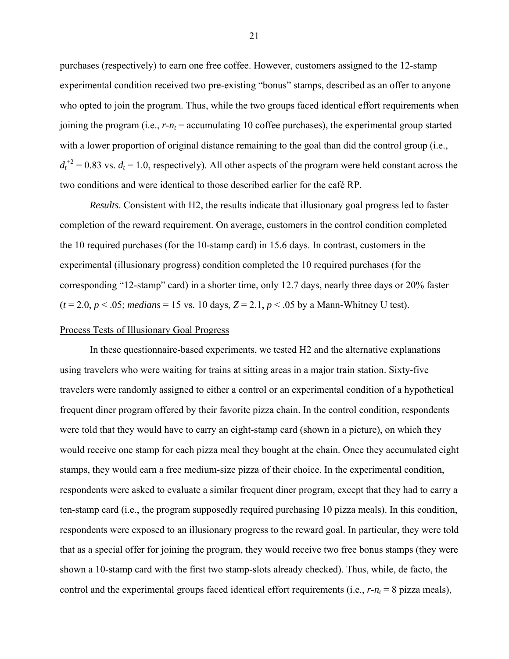purchases (respectively) to earn one free coffee. However, customers assigned to the 12-stamp experimental condition received two pre-existing "bonus" stamps, described as an offer to anyone who opted to join the program. Thus, while the two groups faced identical effort requirements when joining the program (i.e.,  $r - n_t$  = accumulating 10 coffee purchases), the experimental group started with a lower proportion of original distance remaining to the goal than did the control group (i.e.,  $d_t^{+2} = 0.83$  vs.  $d_t = 1.0$ , respectively). All other aspects of the program were held constant across the two conditions and were identical to those described earlier for the café RP.

*Results*. Consistent with H2, the results indicate that illusionary goal progress led to faster completion of the reward requirement. On average, customers in the control condition completed the 10 required purchases (for the 10-stamp card) in 15.6 days. In contrast, customers in the experimental (illusionary progress) condition completed the 10 required purchases (for the corresponding "12-stamp" card) in a shorter time, only 12.7 days, nearly three days or 20% faster  $(t = 2.0, p < .05;$  *medians* = 15 vs. 10 days,  $Z = 2.1, p < .05$  by a Mann-Whitney U test).

## Process Tests of Illusionary Goal Progress

In these questionnaire-based experiments, we tested H2 and the alternative explanations using travelers who were waiting for trains at sitting areas in a major train station. Sixty-five travelers were randomly assigned to either a control or an experimental condition of a hypothetical frequent diner program offered by their favorite pizza chain. In the control condition, respondents were told that they would have to carry an eight-stamp card (shown in a picture), on which they would receive one stamp for each pizza meal they bought at the chain. Once they accumulated eight stamps, they would earn a free medium-size pizza of their choice. In the experimental condition, respondents were asked to evaluate a similar frequent diner program, except that they had to carry a ten-stamp card (i.e., the program supposedly required purchasing 10 pizza meals). In this condition, respondents were exposed to an illusionary progress to the reward goal. In particular, they were told that as a special offer for joining the program, they would receive two free bonus stamps (they were shown a 10-stamp card with the first two stamp-slots already checked). Thus, while, de facto, the control and the experimental groups faced identical effort requirements (i.e.,  $r - n_t = 8$  pizza meals),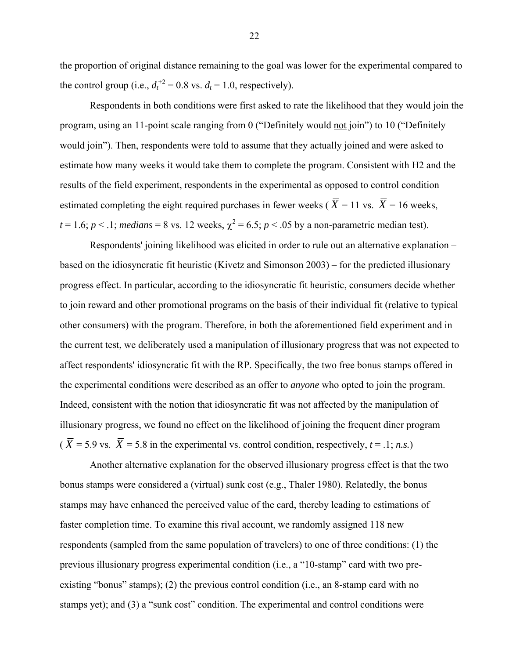the proportion of original distance remaining to the goal was lower for the experimental compared to the control group (i.e.,  $d_t^{+2} = 0.8$  vs.  $d_t = 1.0$ , respectively).

Respondents in both conditions were first asked to rate the likelihood that they would join the program, using an 11-point scale ranging from 0 ("Definitely would not join") to 10 ("Definitely would join"). Then, respondents were told to assume that they actually joined and were asked to estimate how many weeks it would take them to complete the program. Consistent with H2 and the results of the field experiment, respondents in the experimental as opposed to control condition estimated completing the eight required purchases in fewer weeks ( $\overline{X}$  = 11 vs.  $\overline{X}$  = 16 weeks,  $t = 1.6$ ;  $p < 0.1$ ; *medians* = 8 vs. 12 weeks,  $\chi^2 = 6.5$ ;  $p < 0.05$  by a non-parametric median test).

Respondents' joining likelihood was elicited in order to rule out an alternative explanation – based on the idiosyncratic fit heuristic (Kivetz and Simonson 2003) – for the predicted illusionary progress effect. In particular, according to the idiosyncratic fit heuristic, consumers decide whether to join reward and other promotional programs on the basis of their individual fit (relative to typical other consumers) with the program. Therefore, in both the aforementioned field experiment and in the current test, we deliberately used a manipulation of illusionary progress that was not expected to affect respondents' idiosyncratic fit with the RP. Specifically, the two free bonus stamps offered in the experimental conditions were described as an offer to *anyone* who opted to join the program. Indeed, consistent with the notion that idiosyncratic fit was not affected by the manipulation of illusionary progress, we found no effect on the likelihood of joining the frequent diner program  $(\overline{X} = 5.9 \text{ vs. } \overline{X} = 5.8 \text{ in the experimental vs. control condition, respectively, } t = .1; n.s.)$ 

Another alternative explanation for the observed illusionary progress effect is that the two bonus stamps were considered a (virtual) sunk cost (e.g., Thaler 1980). Relatedly, the bonus stamps may have enhanced the perceived value of the card, thereby leading to estimations of faster completion time. To examine this rival account, we randomly assigned 118 new respondents (sampled from the same population of travelers) to one of three conditions: (1) the previous illusionary progress experimental condition (i.e., a "10-stamp" card with two preexisting "bonus" stamps); (2) the previous control condition (i.e., an 8-stamp card with no stamps yet); and (3) a "sunk cost" condition. The experimental and control conditions were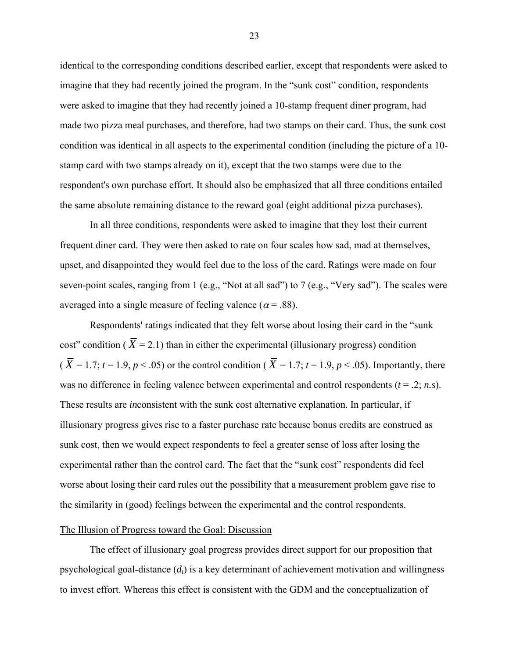identical to the corresponding conditions described earlier, except that respondents were asked to imagine that they had recently joined the program. In the "sunk cost" condition, respondents were asked to imagine that they had recently joined a 10-stamp frequent diner program, had made two pizza meal purchases, and therefore, had two stamps on their card. Thus, the sunk cost condition was identical in all aspects to the experimental condition (including the picture of a 10 stamp card with two stamps already on it), except that the two stamps were due to the respondent's own purchase effort. It should also be emphasized that all three conditions entailed the same absolute remaining distance to the reward goal (eight additional pizza purchases).

In all three conditions, respondents were asked to imagine that they lost their current frequent diner card. They were then asked to rate on four scales how sad, mad at themselves, upset, and disappointed they would feel due to the loss of the card. Ratings were made on four seven-point scales, ranging from 1 (e.g., "Not at all sad") to 7 (e.g., "Very sad"). The scales were averaged into a single measure of feeling valence ( $\alpha$  = .88).

Respondents' ratings indicated that they felt worse about losing their card in the "sunk cost" condition ( $\overline{X}$  = 2.1) than in either the experimental (illusionary progress) condition ( $\overline{X}$  = 1.7; *t* = 1.9, *p* < .05) or the control condition ( $\overline{X}$  = 1.7; *t* = 1.9, *p* < .05). Importantly, there was no difference in feeling valence between experimental and control respondents ( $t = .2$ ; *n.s*). These results are *in*consistent with the sunk cost alternative explanation. In particular, if illusionary progress gives rise to a faster purchase rate because bonus credits are construed as sunk cost, then we would expect respondents to feel a greater sense of loss after losing the experimental rather than the control card. The fact that the "sunk cost" respondents did feel worse about losing their card rules out the possibility that a measurement problem gave rise to the similarity in (good) feelings between the experimental and the control respondents.

#### The Illusion of Progress toward the Goal: Discussion

The effect of illusionary goal progress provides direct support for our proposition that psychological goal-distance  $(d_t)$  is a key determinant of achievement motivation and willingness to invest effort. Whereas this effect is consistent with the GDM and the conceptualization of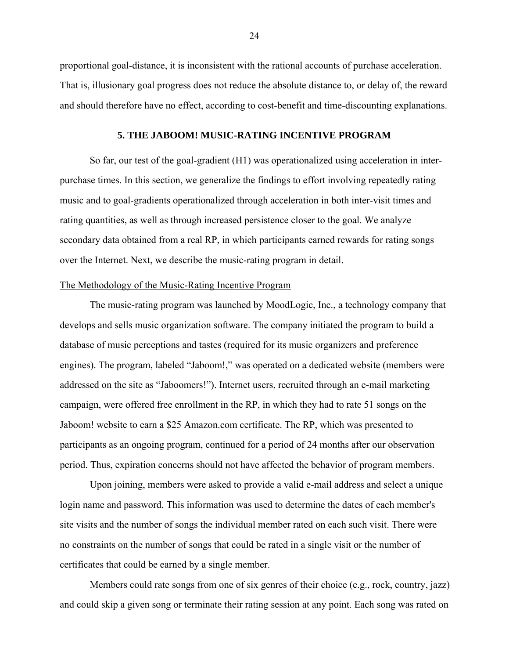proportional goal-distance, it is inconsistent with the rational accounts of purchase acceleration. That is, illusionary goal progress does not reduce the absolute distance to, or delay of, the reward and should therefore have no effect, according to cost-benefit and time-discounting explanations.

#### **5. THE JABOOM! MUSIC-RATING INCENTIVE PROGRAM**

So far, our test of the goal-gradient (H1) was operationalized using acceleration in interpurchase times. In this section, we generalize the findings to effort involving repeatedly rating music and to goal-gradients operationalized through acceleration in both inter-visit times and rating quantities, as well as through increased persistence closer to the goal. We analyze secondary data obtained from a real RP, in which participants earned rewards for rating songs over the Internet. Next, we describe the music-rating program in detail.

## The Methodology of the Music-Rating Incentive Program

The music-rating program was launched by MoodLogic, Inc., a technology company that develops and sells music organization software. The company initiated the program to build a database of music perceptions and tastes (required for its music organizers and preference engines). The program, labeled "Jaboom!," was operated on a dedicated website (members were addressed on the site as "Jaboomers!"). Internet users, recruited through an e-mail marketing campaign, were offered free enrollment in the RP, in which they had to rate 51 songs on the Jaboom! website to earn a \$25 Amazon.com certificate. The RP, which was presented to participants as an ongoing program, continued for a period of 24 months after our observation period. Thus, expiration concerns should not have affected the behavior of program members.

Upon joining, members were asked to provide a valid e-mail address and select a unique login name and password. This information was used to determine the dates of each member's site visits and the number of songs the individual member rated on each such visit. There were no constraints on the number of songs that could be rated in a single visit or the number of certificates that could be earned by a single member.

Members could rate songs from one of six genres of their choice (e.g., rock, country, jazz) and could skip a given song or terminate their rating session at any point. Each song was rated on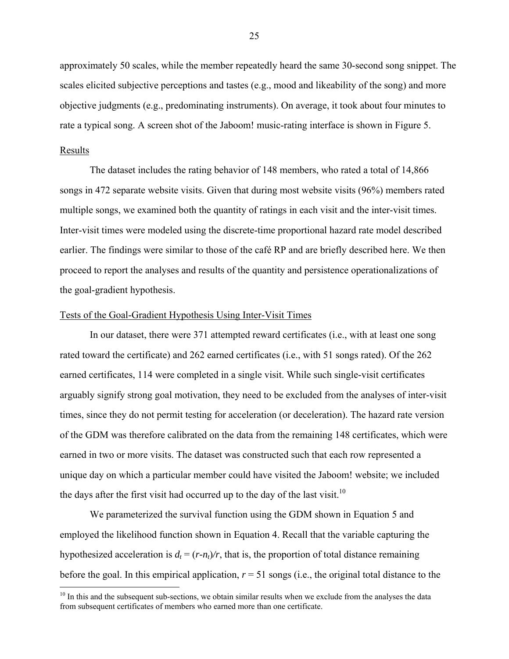approximately 50 scales, while the member repeatedly heard the same 30-second song snippet. The scales elicited subjective perceptions and tastes (e.g., mood and likeability of the song) and more objective judgments (e.g., predominating instruments). On average, it took about four minutes to rate a typical song. A screen shot of the Jaboom! music-rating interface is shown in Figure 5.

### Results

 $\overline{a}$ 

The dataset includes the rating behavior of 148 members, who rated a total of 14,866 songs in 472 separate website visits. Given that during most website visits (96%) members rated multiple songs, we examined both the quantity of ratings in each visit and the inter-visit times. Inter-visit times were modeled using the discrete-time proportional hazard rate model described earlier. The findings were similar to those of the café RP and are briefly described here. We then proceed to report the analyses and results of the quantity and persistence operationalizations of the goal-gradient hypothesis.

#### Tests of the Goal-Gradient Hypothesis Using Inter-Visit Times

In our dataset, there were 371 attempted reward certificates (i.e., with at least one song rated toward the certificate) and 262 earned certificates (i.e., with 51 songs rated). Of the 262 earned certificates, 114 were completed in a single visit. While such single-visit certificates arguably signify strong goal motivation, they need to be excluded from the analyses of inter-visit times, since they do not permit testing for acceleration (or deceleration). The hazard rate version of the GDM was therefore calibrated on the data from the remaining 148 certificates, which were earned in two or more visits. The dataset was constructed such that each row represented a unique day on which a particular member could have visited the Jaboom! website; we included the days after the first visit had occurred up to the day of the last visit.<sup>10</sup>

We parameterized the survival function using the GDM shown in Equation 5 and employed the likelihood function shown in Equation 4. Recall that the variable capturing the hypothesized acceleration is  $d_t = (r-n_t)/r$ , that is, the proportion of total distance remaining before the goal. In this empirical application,  $r = 51$  songs (i.e., the original total distance to the

 $10$  In this and the subsequent sub-sections, we obtain similar results when we exclude from the analyses the data from subsequent certificates of members who earned more than one certificate.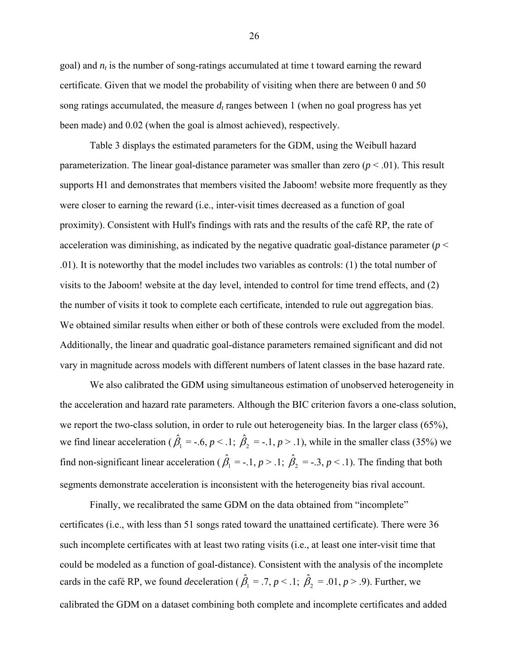goal) and  $n_t$  is the number of song-ratings accumulated at time t toward earning the reward certificate. Given that we model the probability of visiting when there are between 0 and 50 song ratings accumulated, the measure  $d_t$  ranges between 1 (when no goal progress has yet been made) and 0.02 (when the goal is almost achieved), respectively.

Table 3 displays the estimated parameters for the GDM, using the Weibull hazard parameterization. The linear goal-distance parameter was smaller than zero  $(p < .01)$ . This result supports H1 and demonstrates that members visited the Jaboom! website more frequently as they were closer to earning the reward (i.e., inter-visit times decreased as a function of goal proximity). Consistent with Hull's findings with rats and the results of the café RP, the rate of acceleration was diminishing, as indicated by the negative quadratic goal-distance parameter  $(p <$ .01). It is noteworthy that the model includes two variables as controls: (1) the total number of visits to the Jaboom! website at the day level, intended to control for time trend effects, and (2) the number of visits it took to complete each certificate, intended to rule out aggregation bias. We obtained similar results when either or both of these controls were excluded from the model. Additionally, the linear and quadratic goal-distance parameters remained significant and did not vary in magnitude across models with different numbers of latent classes in the base hazard rate.

We also calibrated the GDM using simultaneous estimation of unobserved heterogeneity in the acceleration and hazard rate parameters. Although the BIC criterion favors a one-class solution, we report the two-class solution, in order to rule out heterogeneity bias. In the larger class (65%), we find linear acceleration ( $\hat{\beta}_1 = -.6, p < 0.1; \hat{\beta}_2 = -.1, p > 0.1$ ), while in the smaller class (35%) we find non-significant linear acceleration ( $\hat{\beta}_1 = -1$ ,  $p > 1$ ;  $\hat{\beta}_2 = -3$ ,  $p < 1$ ). The finding that both segments demonstrate acceleration is inconsistent with the heterogeneity bias rival account.

Finally, we recalibrated the same GDM on the data obtained from "incomplete" certificates (i.e., with less than 51 songs rated toward the unattained certificate). There were 36 such incomplete certificates with at least two rating visits (i.e., at least one inter-visit time that could be modeled as a function of goal-distance). Consistent with the analysis of the incomplete cards in the café RP, we found *de*celeration ( $\hat{\beta}_1 = .7, p < .1; \ \hat{\beta}_2 = .01, p > .9$ ). Further, we calibrated the GDM on a dataset combining both complete and incomplete certificates and added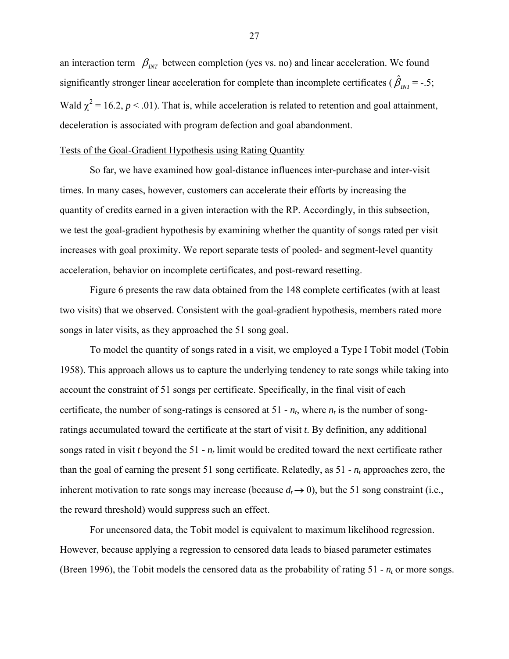an interaction term  $\beta_{NT}$  between completion (yes vs. no) and linear acceleration. We found significantly stronger linear acceleration for complete than incomplete certificates ( $\hat{\beta}_{NT}$  = -.5; Wald  $\chi^2$  = 16.2, *p* < .01). That is, while acceleration is related to retention and goal attainment, deceleration is associated with program defection and goal abandonment.

#### Tests of the Goal-Gradient Hypothesis using Rating Quantity

So far, we have examined how goal-distance influences inter-purchase and inter-visit times. In many cases, however, customers can accelerate their efforts by increasing the quantity of credits earned in a given interaction with the RP. Accordingly, in this subsection, we test the goal-gradient hypothesis by examining whether the quantity of songs rated per visit increases with goal proximity. We report separate tests of pooled- and segment-level quantity acceleration, behavior on incomplete certificates, and post-reward resetting.

Figure 6 presents the raw data obtained from the 148 complete certificates (with at least two visits) that we observed. Consistent with the goal-gradient hypothesis, members rated more songs in later visits, as they approached the 51 song goal.

To model the quantity of songs rated in a visit, we employed a Type I Tobit model (Tobin 1958). This approach allows us to capture the underlying tendency to rate songs while taking into account the constraint of 51 songs per certificate. Specifically, in the final visit of each certificate, the number of song-ratings is censored at  $51 - n_t$ , where  $n_t$  is the number of songratings accumulated toward the certificate at the start of visit *t*. By definition, any additional songs rated in visit *t* beyond the 51 - *nt* limit would be credited toward the next certificate rather than the goal of earning the present 51 song certificate. Relatedly, as  $51 - n_t$  approaches zero, the inherent motivation to rate songs may increase (because  $d_t \rightarrow 0$ ), but the 51 song constraint (i.e., the reward threshold) would suppress such an effect.

For uncensored data, the Tobit model is equivalent to maximum likelihood regression. However, because applying a regression to censored data leads to biased parameter estimates (Breen 1996), the Tobit models the censored data as the probability of rating  $51 - n<sub>t</sub>$  or more songs.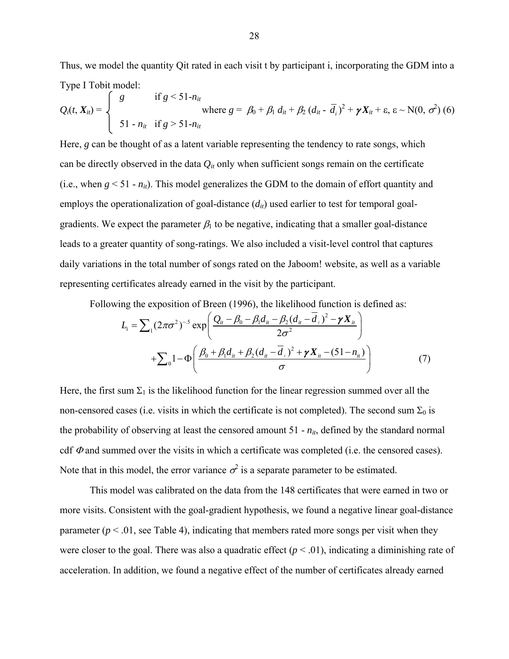Thus, we model the quantity Qit rated in each visit t by participant i, incorporating the GDM into a Type I Tobit model:

$$
Q_i(t, X_{it}) = \begin{cases} g & \text{if } g < 51 - n_{it} \\ \text{where } g = \beta_0 + \beta_1 d_{it} + \beta_2 (d_{it} - \overline{d}_i)^2 + \gamma X_{it} + \varepsilon, \varepsilon \sim N(0, \sigma^2) \ (6) \\ 51 - n_{it} & \text{if } g > 51 - n_{it} \end{cases}
$$

Here, *g* can be thought of as a latent variable representing the tendency to rate songs, which can be directly observed in the data  $Q_{it}$  only when sufficient songs remain on the certificate (i.e., when  $g \le 51 - n_{it}$ ). This model generalizes the GDM to the domain of effort quantity and employs the operationalization of goal-distance  $(d_{it})$  used earlier to test for temporal goalgradients. We expect the parameter  $\beta_1$  to be negative, indicating that a smaller goal-distance leads to a greater quantity of song-ratings. We also included a visit-level control that captures daily variations in the total number of songs rated on the Jaboom! website, as well as a variable representing certificates already earned in the visit by the participant.

Following the exposition of Breen (1996), the likelihood function is defined as:

$$
L_{i} = \sum_{1} (2\pi\sigma^{2})^{-5} \exp\left(\frac{Q_{ii} - \beta_{0} - \beta_{1}d_{ii} - \beta_{2}(d_{ii} - \overline{d}_{i})^{2} - \gamma X_{ii}}{2\sigma^{2}}\right) + \sum_{0} 1 - \Phi\left(\frac{\beta_{0} + \beta_{1}d_{ii} + \beta_{2}(d_{ii} - \overline{d}_{i})^{2} + \gamma X_{ii} - (51 - n_{ii})}{\sigma}\right)
$$
(7)

Here, the first sum  $\Sigma_1$  is the likelihood function for the linear regression summed over all the non-censored cases (i.e. visits in which the certificate is not completed). The second sum  $\Sigma_0$  is the probability of observing at least the censored amount  $51 - n_{it}$ , defined by the standard normal cdf  $\Phi$  and summed over the visits in which a certificate was completed (i.e. the censored cases). Note that in this model, the error variance  $\sigma^2$  is a separate parameter to be estimated.

This model was calibrated on the data from the 148 certificates that were earned in two or more visits. Consistent with the goal-gradient hypothesis, we found a negative linear goal-distance parameter  $(p < .01)$ , see Table 4), indicating that members rated more songs per visit when they were closer to the goal. There was also a quadratic effect  $(p < .01)$ , indicating a diminishing rate of acceleration. In addition, we found a negative effect of the number of certificates already earned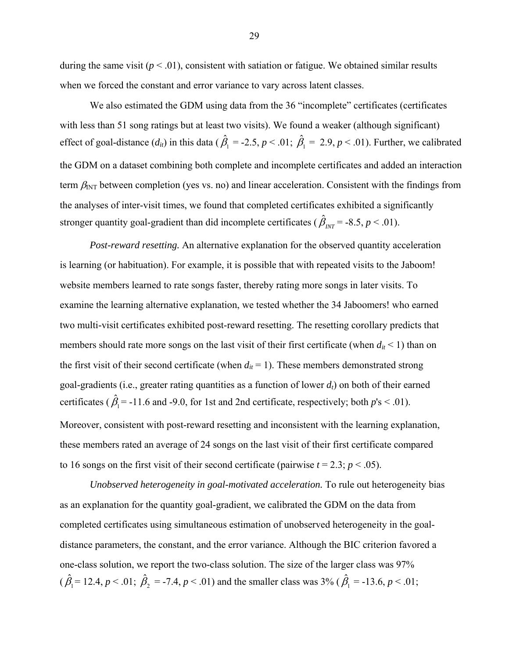during the same visit  $(p < .01)$ , consistent with satiation or fatigue. We obtained similar results when we forced the constant and error variance to vary across latent classes.

We also estimated the GDM using data from the 36 "incomplete" certificates (certificates with less than 51 song ratings but at least two visits). We found a weaker (although significant) effect of goal-distance  $(d_{ii})$  in this data ( $\hat{\beta}_1 = -2.5$ ,  $p < .01$ ;  $\hat{\beta}_1 = 2.9$ ,  $p < .01$ ). Further, we calibrated the GDM on a dataset combining both complete and incomplete certificates and added an interaction term  $\beta_{\text{INT}}$  between completion (yes vs. no) and linear acceleration. Consistent with the findings from the analyses of inter-visit times, we found that completed certificates exhibited a significantly stronger quantity goal-gradient than did incomplete certificates ( $\hat{\beta}_{INT}$  = -8.5, *p* < .01).

*Post-reward resetting.* An alternative explanation for the observed quantity acceleration is learning (or habituation). For example, it is possible that with repeated visits to the Jaboom! website members learned to rate songs faster, thereby rating more songs in later visits. To examine the learning alternative explanation, we tested whether the 34 Jaboomers! who earned two multi-visit certificates exhibited post-reward resetting. The resetting corollary predicts that members should rate more songs on the last visit of their first certificate (when  $d_{it}$  < 1) than on the first visit of their second certificate (when  $d_{it} = 1$ ). These members demonstrated strong goal-gradients (i.e., greater rating quantities as a function of lower  $d_t$ ) on both of their earned certificates ( $\hat{\beta}_1$  = -11.6 and -9.0, for 1st and 2nd certificate, respectively; both  $p$ 's < .01). Moreover, consistent with post-reward resetting and inconsistent with the learning explanation, these members rated an average of 24 songs on the last visit of their first certificate compared to 16 songs on the first visit of their second certificate (pairwise  $t = 2.3$ ;  $p < .05$ ).

*Unobserved heterogeneity in goal-motivated acceleration.* To rule out heterogeneity bias as an explanation for the quantity goal-gradient, we calibrated the GDM on the data from completed certificates using simultaneous estimation of unobserved heterogeneity in the goaldistance parameters, the constant, and the error variance. Although the BIC criterion favored a one-class solution, we report the two-class solution. The size of the larger class was 97%  $(\hat{\beta}_1 = 12.4, p < .01; \ \hat{\beta}_2 = -7.4, p < .01)$  and the smaller class was 3% ( $\hat{\beta}_1 = -13.6, p < .01;$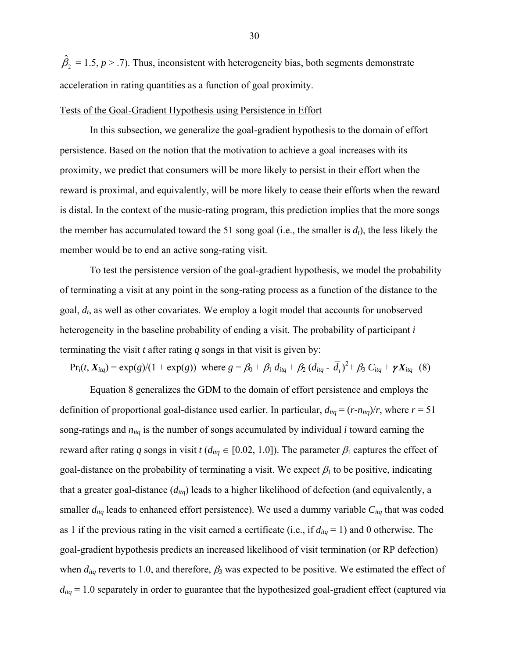$\hat{\beta}_2 = 1.5, p > .7$ ). Thus, inconsistent with heterogeneity bias, both segments demonstrate acceleration in rating quantities as a function of goal proximity.

#### Tests of the Goal-Gradient Hypothesis using Persistence in Effort

In this subsection, we generalize the goal-gradient hypothesis to the domain of effort persistence. Based on the notion that the motivation to achieve a goal increases with its proximity, we predict that consumers will be more likely to persist in their effort when the reward is proximal, and equivalently, will be more likely to cease their efforts when the reward is distal. In the context of the music-rating program, this prediction implies that the more songs the member has accumulated toward the 51 song goal (i.e., the smaller is  $d_t$ ), the less likely the member would be to end an active song-rating visit.

To test the persistence version of the goal-gradient hypothesis, we model the probability of terminating a visit at any point in the song-rating process as a function of the distance to the goal, *dt*, as well as other covariates. We employ a logit model that accounts for unobserved heterogeneity in the baseline probability of ending a visit. The probability of participant *i* terminating the visit *t* after rating *q* songs in that visit is given by:

 $Pr_i(t, X_{itq}) = \exp(g)/(1 + \exp(g))$  where  $g = \beta_0 + \beta_1 d_{itq} + \beta_2 (d_{itq} - \overline{d}_i)^2 + \beta_3 C_{itq} + \gamma X_{itq}$  (8)

Equation 8 generalizes the GDM to the domain of effort persistence and employs the definition of proportional goal-distance used earlier. In particular,  $d_{liq} = (r - n_{liq})/r$ , where  $r = 51$ song-ratings and *nitq* is the number of songs accumulated by individual *i* toward earning the reward after rating *q* songs in visit *t* ( $d_{itq} \in [0.02, 1.0]$ ). The parameter  $\beta_1$  captures the effect of goal-distance on the probability of terminating a visit. We expect  $\beta_1$  to be positive, indicating that a greater goal-distance (*ditq*) leads to a higher likelihood of defection (and equivalently, a smaller  $d_{itq}$  leads to enhanced effort persistence). We used a dummy variable  $C_{itq}$  that was coded as 1 if the previous rating in the visit earned a certificate (i.e., if  $d_{itq} = 1$ ) and 0 otherwise. The goal-gradient hypothesis predicts an increased likelihood of visit termination (or RP defection) when  $d_{itq}$  reverts to 1.0, and therefore,  $\beta_3$  was expected to be positive. We estimated the effect of  $d_{tq}$  = 1.0 separately in order to guarantee that the hypothesized goal-gradient effect (captured via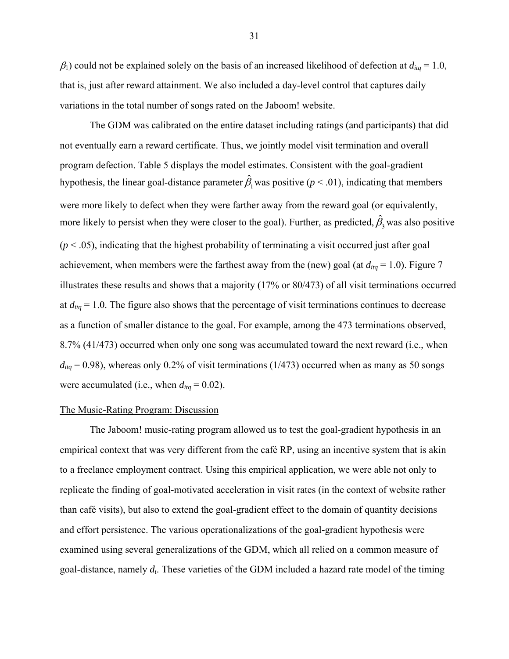$\beta_1$ ) could not be explained solely on the basis of an increased likelihood of defection at  $d_{liq} = 1.0$ , that is, just after reward attainment. We also included a day-level control that captures daily variations in the total number of songs rated on the Jaboom! website.

The GDM was calibrated on the entire dataset including ratings (and participants) that did not eventually earn a reward certificate. Thus, we jointly model visit termination and overall program defection. Table 5 displays the model estimates. Consistent with the goal-gradient hypothesis, the linear goal-distance parameter  $\hat{\beta}_1$  was positive (*p* < .01), indicating that members were more likely to defect when they were farther away from the reward goal (or equivalently, more likely to persist when they were closer to the goal). Further, as predicted,  $\hat{\beta}_3$  was also positive  $(p < .05)$ , indicating that the highest probability of terminating a visit occurred just after goal achievement, when members were the farthest away from the (new) goal (at  $d_{itq} = 1.0$ ). Figure 7 illustrates these results and shows that a majority (17% or 80/473) of all visit terminations occurred at  $d_{itq} = 1.0$ . The figure also shows that the percentage of visit terminations continues to decrease as a function of smaller distance to the goal. For example, among the 473 terminations observed, 8.7% (41/473) occurred when only one song was accumulated toward the next reward (i.e., when  $d_{itq}$  = 0.98), whereas only 0.2% of visit terminations (1/473) occurred when as many as 50 songs were accumulated (i.e., when  $d_{itq} = 0.02$ ).

#### The Music-Rating Program: Discussion

The Jaboom! music-rating program allowed us to test the goal-gradient hypothesis in an empirical context that was very different from the café RP, using an incentive system that is akin to a freelance employment contract. Using this empirical application, we were able not only to replicate the finding of goal-motivated acceleration in visit rates (in the context of website rather than café visits), but also to extend the goal-gradient effect to the domain of quantity decisions and effort persistence. The various operationalizations of the goal-gradient hypothesis were examined using several generalizations of the GDM, which all relied on a common measure of goal-distance, namely *dt*. These varieties of the GDM included a hazard rate model of the timing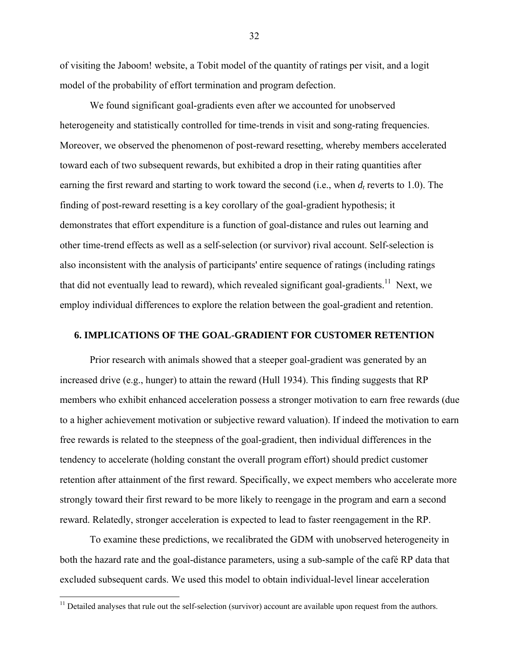of visiting the Jaboom! website, a Tobit model of the quantity of ratings per visit, and a logit model of the probability of effort termination and program defection.

We found significant goal-gradients even after we accounted for unobserved heterogeneity and statistically controlled for time-trends in visit and song-rating frequencies. Moreover, we observed the phenomenon of post-reward resetting, whereby members accelerated toward each of two subsequent rewards, but exhibited a drop in their rating quantities after earning the first reward and starting to work toward the second (i.e., when  $d_t$  reverts to 1.0). The finding of post-reward resetting is a key corollary of the goal-gradient hypothesis; it demonstrates that effort expenditure is a function of goal-distance and rules out learning and other time-trend effects as well as a self-selection (or survivor) rival account. Self-selection is also inconsistent with the analysis of participants' entire sequence of ratings (including ratings that did not eventually lead to reward), which revealed significant goal-gradients.<sup>11</sup> Next, we employ individual differences to explore the relation between the goal-gradient and retention.

# **6. IMPLICATIONS OF THE GOAL-GRADIENT FOR CUSTOMER RETENTION**

Prior research with animals showed that a steeper goal-gradient was generated by an increased drive (e.g., hunger) to attain the reward (Hull 1934). This finding suggests that RP members who exhibit enhanced acceleration possess a stronger motivation to earn free rewards (due to a higher achievement motivation or subjective reward valuation). If indeed the motivation to earn free rewards is related to the steepness of the goal-gradient, then individual differences in the tendency to accelerate (holding constant the overall program effort) should predict customer retention after attainment of the first reward. Specifically, we expect members who accelerate more strongly toward their first reward to be more likely to reengage in the program and earn a second reward. Relatedly, stronger acceleration is expected to lead to faster reengagement in the RP.

To examine these predictions, we recalibrated the GDM with unobserved heterogeneity in both the hazard rate and the goal-distance parameters, using a sub-sample of the café RP data that excluded subsequent cards. We used this model to obtain individual-level linear acceleration

 $\overline{a}$ 

 $11$  Detailed analyses that rule out the self-selection (survivor) account are available upon request from the authors.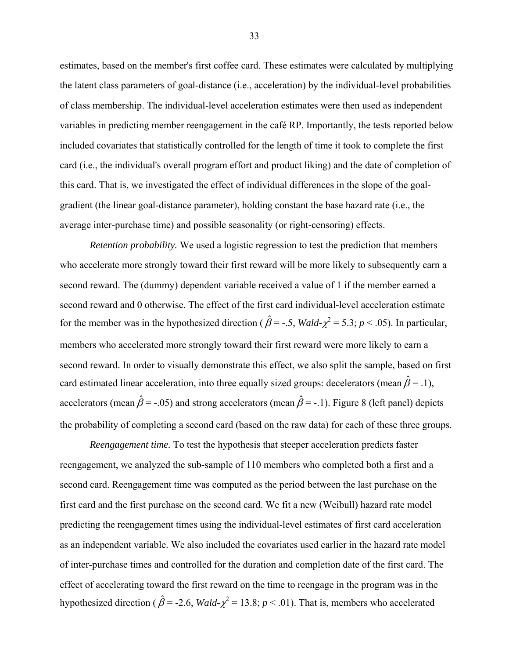estimates, based on the member's first coffee card. These estimates were calculated by multiplying the latent class parameters of goal-distance (i.e., acceleration) by the individual-level probabilities of class membership. The individual-level acceleration estimates were then used as independent variables in predicting member reengagement in the café RP. Importantly, the tests reported below included covariates that statistically controlled for the length of time it took to complete the first card (i.e., the individual's overall program effort and product liking) and the date of completion of this card. That is, we investigated the effect of individual differences in the slope of the goalgradient (the linear goal-distance parameter), holding constant the base hazard rate (i.e., the average inter-purchase time) and possible seasonality (or right-censoring) effects.

*Retention probability.* We used a logistic regression to test the prediction that members who accelerate more strongly toward their first reward will be more likely to subsequently earn a second reward. The (dummy) dependent variable received a value of 1 if the member earned a second reward and 0 otherwise. The effect of the first card individual-level acceleration estimate for the member was in the hypothesized direction ( $\hat{\beta}$  = -.5, *Wald-* $\chi^2$  = 5.3; *p* < .05). In particular, members who accelerated more strongly toward their first reward were more likely to earn a second reward. In order to visually demonstrate this effect, we also split the sample, based on first card estimated linear acceleration, into three equally sized groups: decelerators (mean  $\hat{\beta} = .1$ ), accelerators (mean  $\hat{\beta}$  = -.05) and strong accelerators (mean  $\hat{\beta}$  = -.1). Figure 8 (left panel) depicts the probability of completing a second card (based on the raw data) for each of these three groups.

*Reengagement time.* To test the hypothesis that steeper acceleration predicts faster reengagement, we analyzed the sub-sample of 110 members who completed both a first and a second card. Reengagement time was computed as the period between the last purchase on the first card and the first purchase on the second card. We fit a new (Weibull) hazard rate model predicting the reengagement times using the individual-level estimates of first card acceleration as an independent variable. We also included the covariates used earlier in the hazard rate model of inter-purchase times and controlled for the duration and completion date of the first card. The effect of accelerating toward the first reward on the time to reengage in the program was in the hypothesized direction ( $\hat{\beta}$  = -2.6, *Wald-* $\chi^2$  = 13.8; *p* < .01). That is, members who accelerated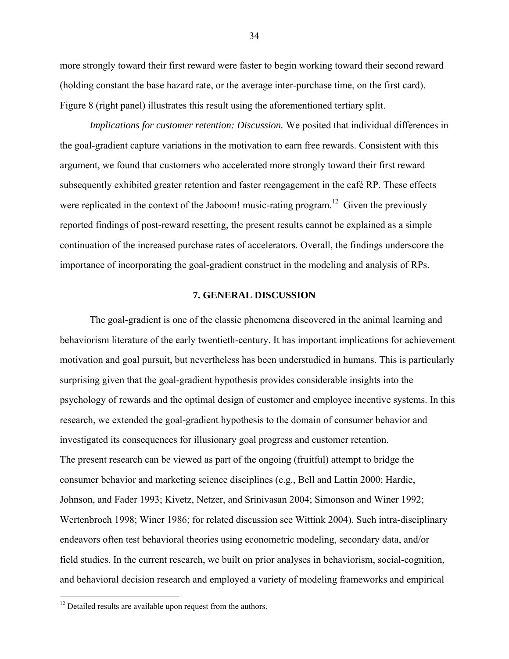more strongly toward their first reward were faster to begin working toward their second reward (holding constant the base hazard rate, or the average inter-purchase time, on the first card). Figure 8 (right panel) illustrates this result using the aforementioned tertiary split.

*Implications for customer retention: Discussion.* We posited that individual differences in the goal-gradient capture variations in the motivation to earn free rewards. Consistent with this argument, we found that customers who accelerated more strongly toward their first reward subsequently exhibited greater retention and faster reengagement in the café RP. These effects were replicated in the context of the Jaboom! music-rating program.<sup>12</sup> Given the previously reported findings of post-reward resetting, the present results cannot be explained as a simple continuation of the increased purchase rates of accelerators. Overall, the findings underscore the importance of incorporating the goal-gradient construct in the modeling and analysis of RPs.

#### **7. GENERAL DISCUSSION**

The goal-gradient is one of the classic phenomena discovered in the animal learning and behaviorism literature of the early twentieth-century. It has important implications for achievement motivation and goal pursuit, but nevertheless has been understudied in humans. This is particularly surprising given that the goal-gradient hypothesis provides considerable insights into the psychology of rewards and the optimal design of customer and employee incentive systems. In this research, we extended the goal-gradient hypothesis to the domain of consumer behavior and investigated its consequences for illusionary goal progress and customer retention. The present research can be viewed as part of the ongoing (fruitful) attempt to bridge the consumer behavior and marketing science disciplines (e.g., Bell and Lattin 2000; Hardie, Johnson, and Fader 1993; Kivetz, Netzer, and Srinivasan 2004; Simonson and Winer 1992; Wertenbroch 1998; Winer 1986; for related discussion see Wittink 2004). Such intra-disciplinary endeavors often test behavioral theories using econometric modeling, secondary data, and/or field studies. In the current research, we built on prior analyses in behaviorism, social-cognition, and behavioral decision research and employed a variety of modeling frameworks and empirical

 $12$  Detailed results are available upon request from the authors.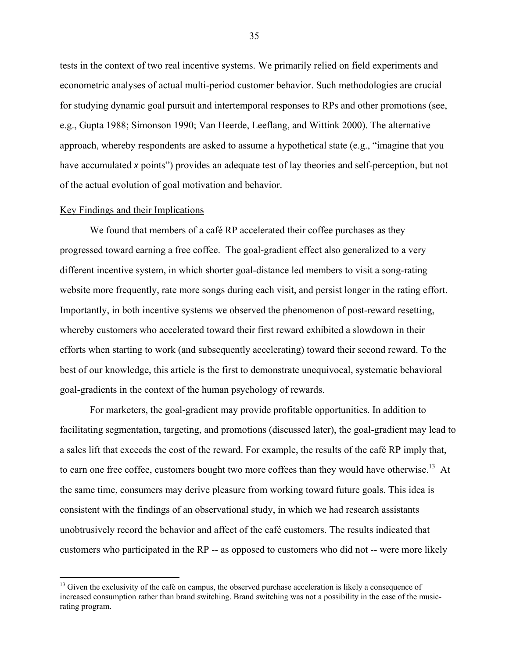tests in the context of two real incentive systems. We primarily relied on field experiments and econometric analyses of actual multi-period customer behavior. Such methodologies are crucial for studying dynamic goal pursuit and intertemporal responses to RPs and other promotions (see, e.g., Gupta 1988; Simonson 1990; Van Heerde, Leeflang, and Wittink 2000). The alternative approach, whereby respondents are asked to assume a hypothetical state (e.g., "imagine that you have accumulated *x* points") provides an adequate test of lay theories and self-perception, but not of the actual evolution of goal motivation and behavior.

#### Key Findings and their Implications

1

We found that members of a café RP accelerated their coffee purchases as they progressed toward earning a free coffee. The goal-gradient effect also generalized to a very different incentive system, in which shorter goal-distance led members to visit a song-rating website more frequently, rate more songs during each visit, and persist longer in the rating effort. Importantly, in both incentive systems we observed the phenomenon of post-reward resetting, whereby customers who accelerated toward their first reward exhibited a slowdown in their efforts when starting to work (and subsequently accelerating) toward their second reward. To the best of our knowledge, this article is the first to demonstrate unequivocal, systematic behavioral goal-gradients in the context of the human psychology of rewards.

For marketers, the goal-gradient may provide profitable opportunities. In addition to facilitating segmentation, targeting, and promotions (discussed later), the goal-gradient may lead to a sales lift that exceeds the cost of the reward. For example, the results of the café RP imply that, to earn one free coffee, customers bought two more coffees than they would have otherwise.<sup>13</sup> At the same time, consumers may derive pleasure from working toward future goals. This idea is consistent with the findings of an observational study, in which we had research assistants unobtrusively record the behavior and affect of the café customers. The results indicated that customers who participated in the RP -- as opposed to customers who did not -- were more likely

<sup>&</sup>lt;sup>13</sup> Given the exclusivity of the café on campus, the observed purchase acceleration is likely a consequence of increased consumption rather than brand switching. Brand switching was not a possibility in the case of the musicrating program.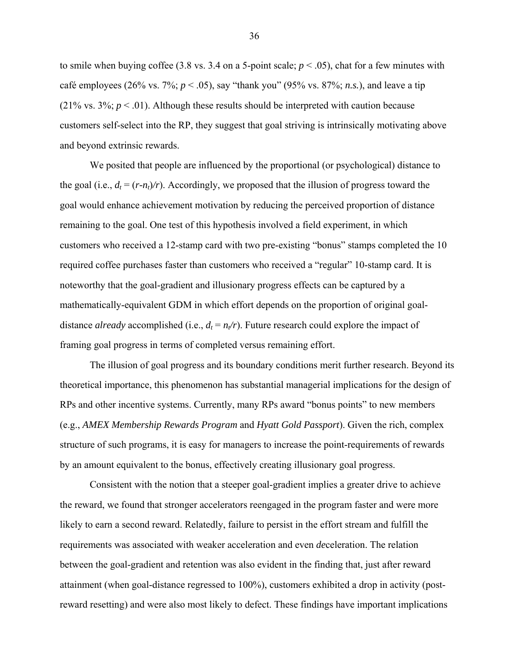to smile when buying coffee (3.8 vs. 3.4 on a 5-point scale;  $p < .05$ ), chat for a few minutes with café employees (26% vs. 7%;  $p < .05$ ), say "thank you" (95% vs. 87%; *n.s.*), and leave a tip (21% vs.  $3\%$ ;  $p < .01$ ). Although these results should be interpreted with caution because customers self-select into the RP, they suggest that goal striving is intrinsically motivating above and beyond extrinsic rewards.

We posited that people are influenced by the proportional (or psychological) distance to the goal (i.e.,  $d_t = (r-n_t)/r$ ). Accordingly, we proposed that the illusion of progress toward the goal would enhance achievement motivation by reducing the perceived proportion of distance remaining to the goal. One test of this hypothesis involved a field experiment, in which customers who received a 12-stamp card with two pre-existing "bonus" stamps completed the 10 required coffee purchases faster than customers who received a "regular" 10-stamp card. It is noteworthy that the goal-gradient and illusionary progress effects can be captured by a mathematically-equivalent GDM in which effort depends on the proportion of original goaldistance *already* accomplished (i.e.,  $d_t = n_t/r$ ). Future research could explore the impact of framing goal progress in terms of completed versus remaining effort.

The illusion of goal progress and its boundary conditions merit further research. Beyond its theoretical importance, this phenomenon has substantial managerial implications for the design of RPs and other incentive systems. Currently, many RPs award "bonus points" to new members (e.g., *AMEX Membership Rewards Program* and *Hyatt Gold Passport*). Given the rich, complex structure of such programs, it is easy for managers to increase the point-requirements of rewards by an amount equivalent to the bonus, effectively creating illusionary goal progress.

Consistent with the notion that a steeper goal-gradient implies a greater drive to achieve the reward, we found that stronger accelerators reengaged in the program faster and were more likely to earn a second reward. Relatedly, failure to persist in the effort stream and fulfill the requirements was associated with weaker acceleration and even *de*celeration. The relation between the goal-gradient and retention was also evident in the finding that, just after reward attainment (when goal-distance regressed to 100%), customers exhibited a drop in activity (postreward resetting) and were also most likely to defect. These findings have important implications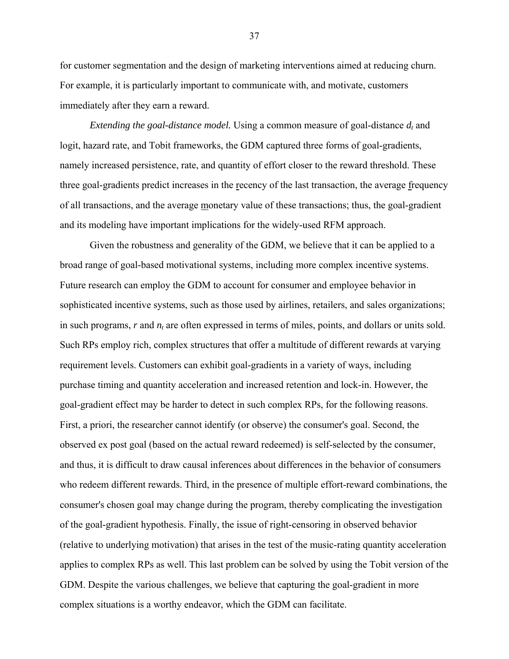for customer segmentation and the design of marketing interventions aimed at reducing churn. For example, it is particularly important to communicate with, and motivate, customers immediately after they earn a reward.

*Extending the goal-distance model.* Using a common measure of goal-distance  $d_t$  and logit, hazard rate, and Tobit frameworks, the GDM captured three forms of goal-gradients, namely increased persistence, rate, and quantity of effort closer to the reward threshold. These three goal-gradients predict increases in the recency of the last transaction, the average frequency of all transactions, and the average monetary value of these transactions; thus, the goal-gradient and its modeling have important implications for the widely-used RFM approach.

Given the robustness and generality of the GDM, we believe that it can be applied to a broad range of goal-based motivational systems, including more complex incentive systems. Future research can employ the GDM to account for consumer and employee behavior in sophisticated incentive systems, such as those used by airlines, retailers, and sales organizations; in such programs,  $r$  and  $n_t$  are often expressed in terms of miles, points, and dollars or units sold. Such RPs employ rich, complex structures that offer a multitude of different rewards at varying requirement levels. Customers can exhibit goal-gradients in a variety of ways, including purchase timing and quantity acceleration and increased retention and lock-in. However, the goal-gradient effect may be harder to detect in such complex RPs, for the following reasons. First, a priori, the researcher cannot identify (or observe) the consumer's goal. Second, the observed ex post goal (based on the actual reward redeemed) is self-selected by the consumer, and thus, it is difficult to draw causal inferences about differences in the behavior of consumers who redeem different rewards. Third, in the presence of multiple effort-reward combinations, the consumer's chosen goal may change during the program, thereby complicating the investigation of the goal-gradient hypothesis. Finally, the issue of right-censoring in observed behavior (relative to underlying motivation) that arises in the test of the music-rating quantity acceleration applies to complex RPs as well. This last problem can be solved by using the Tobit version of the GDM. Despite the various challenges, we believe that capturing the goal-gradient in more complex situations is a worthy endeavor, which the GDM can facilitate.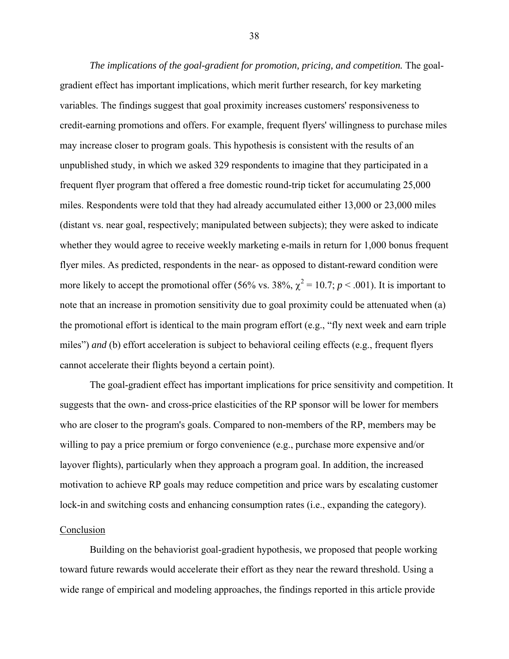*The implications of the goal-gradient for promotion, pricing, and competition.* The goalgradient effect has important implications, which merit further research, for key marketing variables. The findings suggest that goal proximity increases customers' responsiveness to credit-earning promotions and offers. For example, frequent flyers' willingness to purchase miles may increase closer to program goals. This hypothesis is consistent with the results of an unpublished study, in which we asked 329 respondents to imagine that they participated in a frequent flyer program that offered a free domestic round-trip ticket for accumulating 25,000 miles. Respondents were told that they had already accumulated either 13,000 or 23,000 miles (distant vs. near goal, respectively; manipulated between subjects); they were asked to indicate whether they would agree to receive weekly marketing e-mails in return for 1,000 bonus frequent flyer miles. As predicted, respondents in the near- as opposed to distant-reward condition were more likely to accept the promotional offer (56% vs. 38%,  $\chi^2 = 10.7$ ;  $p < .001$ ). It is important to note that an increase in promotion sensitivity due to goal proximity could be attenuated when (a) the promotional effort is identical to the main program effort (e.g., "fly next week and earn triple miles") *and* (b) effort acceleration is subject to behavioral ceiling effects (e.g., frequent flyers cannot accelerate their flights beyond a certain point).

The goal-gradient effect has important implications for price sensitivity and competition. It suggests that the own- and cross-price elasticities of the RP sponsor will be lower for members who are closer to the program's goals. Compared to non-members of the RP, members may be willing to pay a price premium or forgo convenience (e.g., purchase more expensive and/or layover flights), particularly when they approach a program goal. In addition, the increased motivation to achieve RP goals may reduce competition and price wars by escalating customer lock-in and switching costs and enhancing consumption rates (i.e., expanding the category).

#### **Conclusion**

Building on the behaviorist goal-gradient hypothesis, we proposed that people working toward future rewards would accelerate their effort as they near the reward threshold. Using a wide range of empirical and modeling approaches, the findings reported in this article provide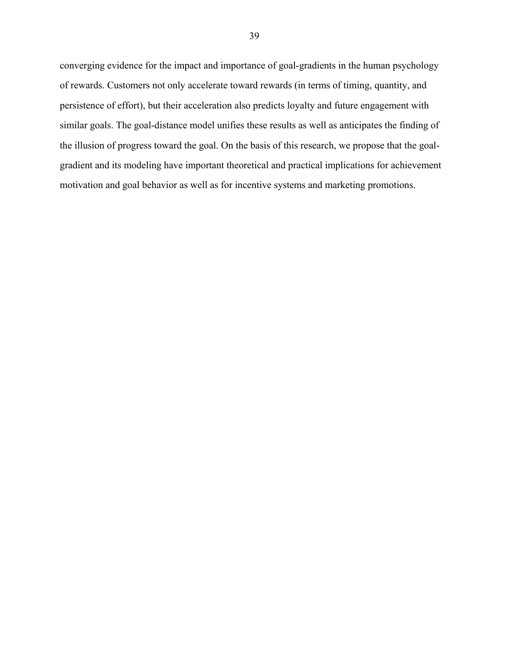converging evidence for the impact and importance of goal-gradients in the human psychology of rewards. Customers not only accelerate toward rewards (in terms of timing, quantity, and persistence of effort), but their acceleration also predicts loyalty and future engagement with similar goals. The goal-distance model unifies these results as well as anticipates the finding of the illusion of progress toward the goal. On the basis of this research, we propose that the goalgradient and its modeling have important theoretical and practical implications for achievement motivation and goal behavior as well as for incentive systems and marketing promotions.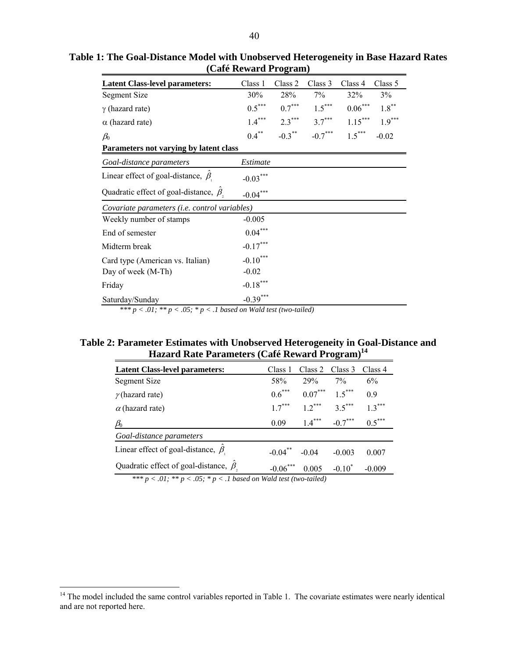| <b>Latent Class-level parameters:</b>         | Class 1    | Class 2              | Class 3   | Class 4   | Class 5  |
|-----------------------------------------------|------------|----------------------|-----------|-----------|----------|
| Segment Size                                  | 30%        | 28%                  | 7%        | 32%       | 3%       |
| $\gamma$ (hazard rate)                        | $0.5***$   | $0.7***$             | $1.5***$  | $0.06***$ | $1.8***$ |
| $\alpha$ (hazard rate)                        | $1.4***$   | $2.3***$             | $3.7***$  | $1.15***$ | $1.9***$ |
| $\beta_0$                                     | $0.4***$   | $-0.3$ <sup>**</sup> | $-0.7***$ | $1.5***$  | $-0.02$  |
| Parameters not varying by latent class        |            |                      |           |           |          |
| Goal-distance parameters                      | Estimate   |                      |           |           |          |
| Linear effect of goal-distance, $\beta$       | $-0.03***$ |                      |           |           |          |
| Quadratic effect of goal-distance, $\beta$ ,  | $-0.04***$ |                      |           |           |          |
| Covariate parameters (i.e. control variables) |            |                      |           |           |          |
| Weekly number of stamps                       | $-0.005$   |                      |           |           |          |
| End of semester                               | $0.04***$  |                      |           |           |          |
| Midterm break                                 | $-0.17***$ |                      |           |           |          |
| Card type (American vs. Italian)              | $-0.10***$ |                      |           |           |          |
| Day of week (M-Th)                            | $-0.02$    |                      |           |           |          |
| Friday                                        | $-0.18***$ |                      |           |           |          |
| Saturday/Sunday                               | $-0.39***$ |                      |           |           |          |

**Table 1: The Goal-Distance Model with Unobserved Heterogeneity in Base Hazard Rates (Café Reward Program)** 

\*\*\*  $p < .01$ ; \*\*  $p < .05$ ; \*  $p < .1$  based on Wald test (two-tailed)

# **Table 2: Parameter Estimates with Unobserved Heterogeneity in Goal-Distance and Hazard Rate Parameters (Café Reward Program)14**

| Class 2 $\,$ Class 3          | Class 4  |
|-------------------------------|----------|
| $7\%$                         | 6%       |
| $0.07***$ 1.5***              | 09       |
| $12^{***}$ 3.5 <sup>***</sup> | $13***$  |
| $1.4***$<br>$-0.7***$         | $0.5***$ |
|                               |          |
| $-0.003$                      | 0.007    |
| $-0.10^*$<br>0.005            | $-0.009$ |
|                               |          |

 *\*\*\* p < .01; \*\* p < .05; \* p < .1 based on Wald test (two-tailed)* 

 $14$  The model included the same control variables reported in Table 1. The covariate estimates were nearly identical and are not reported here.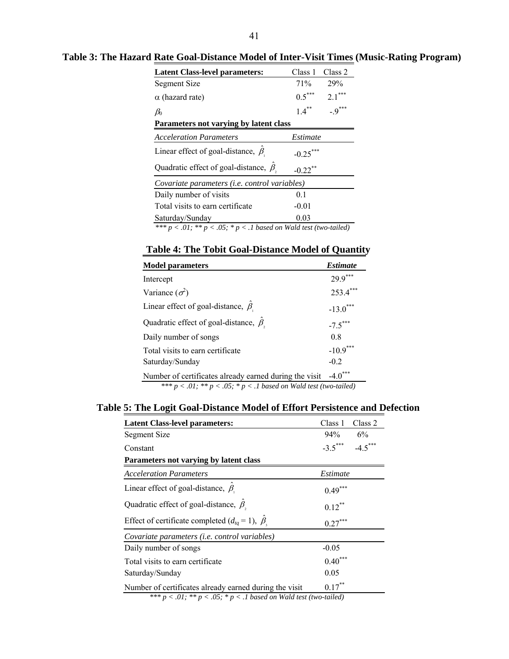| <b>Latent Class-level parameters:</b>                                     | Class 1    | Class 2  |  |  |
|---------------------------------------------------------------------------|------------|----------|--|--|
| Segment Size                                                              | <b>71%</b> | 29%      |  |  |
| $\alpha$ (hazard rate)                                                    | $0.5***$   | $2.1***$ |  |  |
| $\beta_0$                                                                 | $1.4***$   | $-9***$  |  |  |
| Parameters not varying by latent class                                    |            |          |  |  |
| <b>Acceleration Parameters</b>                                            | Estimate   |          |  |  |
| Linear effect of goal-distance, $\beta$                                   | $-0.25***$ |          |  |  |
| Quadratic effect of goal-distance, $\beta$                                | $-0.22$ ** |          |  |  |
| Covariate parameters ( <i>i.e.</i> control variables)                     |            |          |  |  |
| Daily number of visits                                                    | 0.1        |          |  |  |
| Total visits to earn certificate                                          | $-0.01$    |          |  |  |
| Saturday/Sunday                                                           | 0.03       |          |  |  |
| *** $p < .01$ ; ** $p < .05$ ; * $p < .1$ based on Wald test (two-tailed) |            |          |  |  |

**Table 3: The Hazard Rate Goal-Distance Model of Inter-Visit Times (Music-Rating Program)** 

# **Table 4: The Tobit Goal-Distance Model of Quantity**

| <b>Model parameters</b>                                                                                                          | <i><b>Estimate</b></i> |
|----------------------------------------------------------------------------------------------------------------------------------|------------------------|
| Intercept                                                                                                                        | ***<br>29.9            |
| Variance $(\sigma^2)$                                                                                                            | $253.4***$             |
| Linear effect of goal-distance, $\beta$                                                                                          | $-13.0$ ***            |
| Quadratic effect of goal-distance, $\beta$ ,                                                                                     | $-7.5***$              |
| Daily number of songs                                                                                                            | 0.8                    |
| Total visits to earn certificate                                                                                                 | $-10.9$                |
| Saturday/Sunday                                                                                                                  | $-0.2$                 |
| Number of certificates already earned during the visit<br>$*** n < 01$ , $** n < 05$ , $* n < 1$ hased on Wald test (two-tailed) | $-4.0^{\circ}$         |

*\*\*\* p < .01; \*\* p < .05; \* p < .1 based on Wald test (two-tailed)*

# **Table 5: The Logit Goal-Distance Model of Effort Persistence and Defection**

| <b>Latent Class-level parameters:</b>                                     | Class 1   | Class 2   |  |  |
|---------------------------------------------------------------------------|-----------|-----------|--|--|
| Segment Size                                                              | 94%       | 6%        |  |  |
| Constant                                                                  | $-3.5***$ | $-4.5***$ |  |  |
| Parameters not varying by latent class                                    |           |           |  |  |
| <b>Acceleration Parameters</b>                                            | Estimate  |           |  |  |
| Linear effect of goal-distance, $\beta$                                   | $0.49***$ |           |  |  |
| Quadratic effect of goal-distance, $\beta$ ,                              | $0.12***$ |           |  |  |
| Effect of certificate completed $(d_{tq} = 1)$ , $\beta$ .                | $0.27***$ |           |  |  |
| Covariate parameters ( <i>i.e.</i> control variables)                     |           |           |  |  |
| Daily number of songs                                                     | $-0.05$   |           |  |  |
| Total visits to earn certificate                                          | $0.40***$ |           |  |  |
| Saturday/Sunday                                                           | 0.05      |           |  |  |
| Number of certificates already earned during the visit                    | $0.17***$ |           |  |  |
| *** $p < .01$ ; ** $p < .05$ ; * $p < .1$ based on Wald test (two-tailed) |           |           |  |  |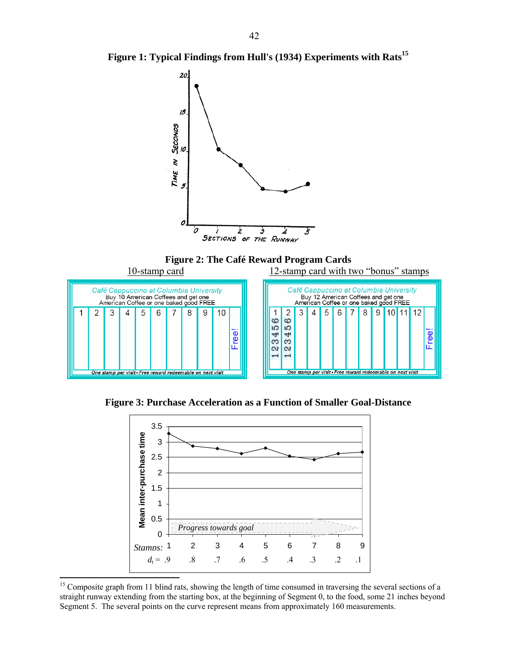





**Figure 3: Purchase Acceleration as a Function of Smaller Goal-Distance** 



<sup>&</sup>lt;sup>15</sup> Composite graph from 11 blind rats, showing the length of time consumed in traversing the several sections of a straight runway extending from the starting box, at the beginning of Segment 0, to the food, some 21 inches beyond Segment 5. The several points on the curve represent means from approximately 160 measurements.

 $\overline{a}$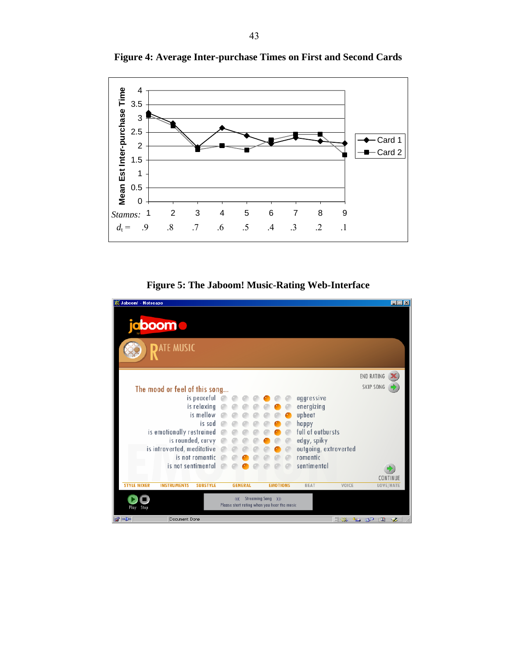

**Figure 4: Average Inter-purchase Times on First and Second Cards** 

**Figure 5: The Jaboom! Music-Rating Web-Interface** 

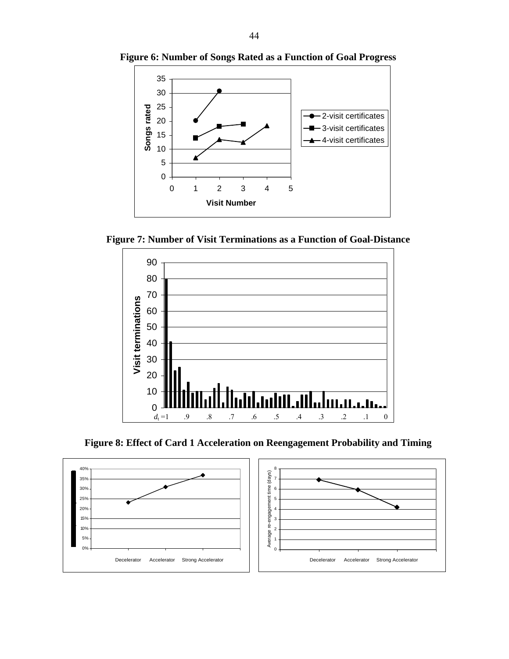

**Figure 6: Number of Songs Rated as a Function of Goal Progress** 

**Figure 7: Number of Visit Terminations as a Function of Goal-Distance** 



**Figure 8: Effect of Card 1 Acceleration on Reengagement Probability and Timing** 

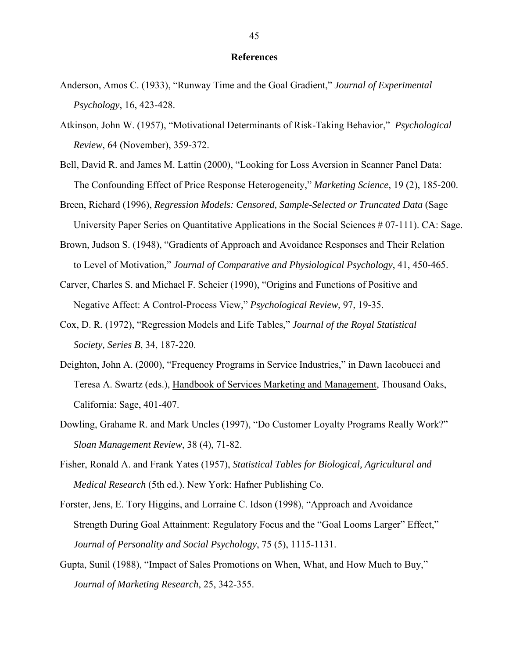#### **References**

- Anderson, Amos C. (1933), "Runway Time and the Goal Gradient," *Journal of Experimental Psychology*, 16, 423-428.
- Atkinson, John W. (1957), "Motivational Determinants of Risk-Taking Behavior," *Psychological Review*, 64 (November), 359-372.
- Bell, David R. and James M. Lattin (2000), "Looking for Loss Aversion in Scanner Panel Data: The Confounding Effect of Price Response Heterogeneity," *Marketing Science*, 19 (2), 185-200.
- Breen, Richard (1996), *Regression Models: Censored, Sample-Selected or Truncated Data* (Sage University Paper Series on Quantitative Applications in the Social Sciences # 07-111). CA: Sage.
- Brown, Judson S. (1948), "Gradients of Approach and Avoidance Responses and Their Relation to Level of Motivation," *Journal of Comparative and Physiological Psychology*, 41, 450-465.
- Carver, Charles S. and Michael F. Scheier (1990), "Origins and Functions of Positive and Negative Affect: A Control-Process View," *Psychological Review*, 97, 19-35.
- Cox, D. R. (1972), "Regression Models and Life Tables," *Journal of the Royal Statistical Society, Series B*, 34, 187-220.
- Deighton, John A. (2000), "Frequency Programs in Service Industries," in Dawn Iacobucci and Teresa A. Swartz (eds.), Handbook of Services Marketing and Management, Thousand Oaks, California: Sage, 401-407.
- Dowling, Grahame R. and Mark Uncles (1997), "Do Customer Loyalty Programs Really Work?" *Sloan Management Review*, 38 (4), 71-82.
- Fisher, Ronald A. and Frank Yates (1957), *Statistical Tables for Biological, Agricultural and Medical Research* (5th ed.). New York: Hafner Publishing Co.
- Forster, Jens, E. Tory Higgins, and Lorraine C. Idson (1998), "Approach and Avoidance Strength During Goal Attainment: Regulatory Focus and the "Goal Looms Larger" Effect," *Journal of Personality and Social Psychology*, 75 (5), 1115-1131.
- Gupta, Sunil (1988), "Impact of Sales Promotions on When, What, and How Much to Buy," *Journal of Marketing Research*, 25, 342-355.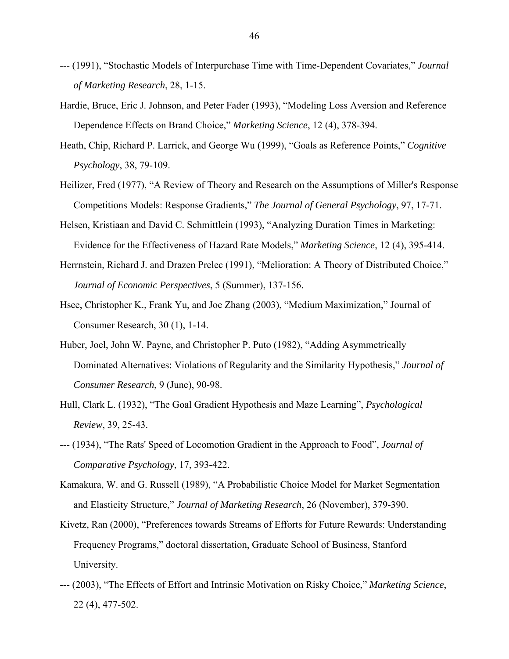- --- (1991), "Stochastic Models of Interpurchase Time with Time-Dependent Covariates," *Journal of Marketing Research*, 28, 1-15.
- Hardie, Bruce, Eric J. Johnson, and Peter Fader (1993), "Modeling Loss Aversion and Reference Dependence Effects on Brand Choice," *Marketing Science*, 12 (4), 378-394.
- Heath, Chip, Richard P. Larrick, and George Wu (1999), "Goals as Reference Points," *Cognitive Psychology*, 38, 79-109.
- Heilizer, Fred (1977), "A Review of Theory and Research on the Assumptions of Miller's Response Competitions Models: Response Gradients," *The Journal of General Psychology*, 97, 17-71.
- Helsen, Kristiaan and David C. Schmittlein (1993), "Analyzing Duration Times in Marketing: Evidence for the Effectiveness of Hazard Rate Models," *Marketing Science*, 12 (4), 395-414.
- Herrnstein, Richard J. and Drazen Prelec (1991), "Melioration: A Theory of Distributed Choice," *Journal of Economic Perspectives*, 5 (Summer), 137-156.
- Hsee, Christopher K., Frank Yu, and Joe Zhang (2003), "Medium Maximization," Journal of Consumer Research, 30 (1), 1-14.
- Huber, Joel, John W. Payne, and Christopher P. Puto (1982), "Adding Asymmetrically Dominated Alternatives: Violations of Regularity and the Similarity Hypothesis," *Journal of Consumer Research*, 9 (June), 90-98.
- Hull, Clark L. (1932), "The Goal Gradient Hypothesis and Maze Learning", *Psychological Review*, 39, 25-43.
- --- (1934), "The Rats' Speed of Locomotion Gradient in the Approach to Food", *Journal of Comparative Psychology*, 17, 393-422.
- Kamakura, W. and G. Russell (1989), "A Probabilistic Choice Model for Market Segmentation and Elasticity Structure," *Journal of Marketing Research*, 26 (November), 379-390.
- Kivetz, Ran (2000), "Preferences towards Streams of Efforts for Future Rewards: Understanding Frequency Programs," doctoral dissertation, Graduate School of Business, Stanford University.
- --- (2003), "The Effects of Effort and Intrinsic Motivation on Risky Choice," *Marketing Science*, 22 (4), 477-502.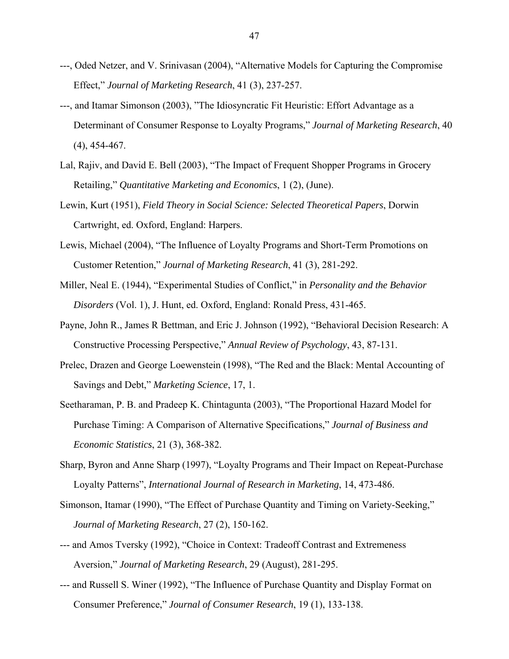- ---, Oded Netzer, and V. Srinivasan (2004), "Alternative Models for Capturing the Compromise Effect," *Journal of Marketing Research*, 41 (3), 237-257.
- ---, and Itamar Simonson (2003), "The Idiosyncratic Fit Heuristic: Effort Advantage as a Determinant of Consumer Response to Loyalty Programs," *Journal of Marketing Research*, 40 (4), 454-467.
- Lal, Rajiv, and David E. Bell (2003), "The Impact of Frequent Shopper Programs in Grocery Retailing," *Quantitative Marketing and Economics*, 1 (2), (June).
- Lewin, Kurt (1951), *Field Theory in Social Science: Selected Theoretical Papers*, Dorwin Cartwright, ed. Oxford, England: Harpers.
- Lewis, Michael (2004), "The Influence of Loyalty Programs and Short-Term Promotions on Customer Retention," *Journal of Marketing Research*, 41 (3), 281-292.
- Miller, Neal E. (1944), "Experimental Studies of Conflict," in *Personality and the Behavior Disorders* (Vol. 1), J. Hunt, ed. Oxford, England: Ronald Press, 431-465.
- Payne, John R., James R Bettman, and Eric J. Johnson (1992), "Behavioral Decision Research: A Constructive Processing Perspective," *Annual Review of Psychology*, 43, 87-131.
- Prelec, Drazen and George Loewenstein (1998), "The Red and the Black: Mental Accounting of Savings and Debt," *Marketing Science*, 17, 1.
- Seetharaman, P. B. and Pradeep K. Chintagunta (2003), "The Proportional Hazard Model for Purchase Timing: A Comparison of Alternative Specifications," *Journal of Business and Economic Statistics*, 21 (3), 368-382.
- Sharp, Byron and Anne Sharp (1997), "Loyalty Programs and Their Impact on Repeat-Purchase Loyalty Patterns", *International Journal of Research in Marketing*, 14, 473-486.
- Simonson, Itamar (1990), "The Effect of Purchase Quantity and Timing on Variety-Seeking," *Journal of Marketing Research*, 27 (2), 150-162.
- --- and Amos Tversky (1992), "Choice in Context: Tradeoff Contrast and Extremeness Aversion," *Journal of Marketing Research*, 29 (August), 281-295.
- --- and Russell S. Winer (1992), "The Influence of Purchase Quantity and Display Format on Consumer Preference," *Journal of Consumer Research*, 19 (1), 133-138.